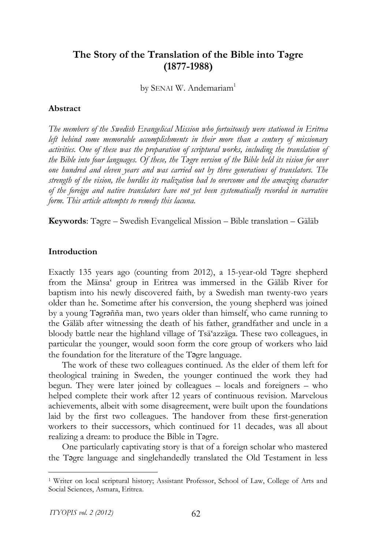### Dereje Feyissa – Markus Virgil Hoehne: Borders and Borderlands as **(1877-1988)**  Resources in the Horn of Africa. Woodbridge 2010 **The Story of the Translation of the Bible into Tǝgre**

by SENAI W. Andemariam<sup>1</sup>

#### **Abstract**

The members of the Swedish Evangelical Mission who fortuitously were stationed in Eritrea The memoers of the sweash Evangelical Ivission who formitously were stationed in Ertifica<br>left behind some memorable accomplishments in their more than a century of missionary age belong some memorable accompusionents in their more than a century of missionary<br>activities. One of these was the preparation of scriptural works, including the translation of the Bible into four languages. Of these, the T<sup></sup>*agre* version of the Bible held its vision for over *one hundred and eleven years and was carried out by three generations of translators. The* strength of the vision, the hurdles its realization had to overcome and the amazing character The Mikael Iyasu Library: Mekelle University Acquires 2,500 Books from the *of the foreign and native translators have not yet been systematically recorded in narrative*  form. This article attempts to remedy this lacuna.

**orwardo: Toore Synolich Executional Mission**  $\mathbf{R}$ **ible trenslation**  $\mathbf{C}^{\text{alg}}$ **Keywords**: Təgre – Swedish Evangelical Mission – Bible translation – Gäläb

#### $\Gamma$ **Introduction**

Exactly 135 years ago (counting from 2012), a 15-year-old Tagre shepherd from the Mänsa' group in Eritrea was immersed in the Gäläb River for baptism into his newly discovered faith, by a Swedish man twenty-two years older than he. Sometime after his conversion, the young shepherd was joined by a young regression man, and years of all the Horn ministry, who came raining to the Gäläb after witnessing the death of his father, grandfather and uncle in a are out the university are detter of the future, gramature and dress in a bloody battle near the highland village of Tsä'azzäga. These two colleagues, in particular the younger, would soon form the core group of workers who laid by a young Tǝgrǝñña man, two years older than himself, who came running to the foundation for the literature of the Tagre language.

**Research and Expedition Reports** theological training in Sweden, the younger continued the work they had began. They were fater joined by concagues thoears and foregiters who achievements, albeit with some disagreement, were built upon the foundations laid by the first two colleagues. The handover from these first-generation workers to their successors, which continued for 11 decades, was all about The work of these two colleagues continued. As the elder of them left for begun. They were later joined by colleagues – locals and foreigners – who realizing a dream: to produce the Bible in Tǝgre.

the Tagre language and singlehandedly translated the Old Testament in less One particularly captivating story is that of a foreign scholar who mastered

 $\overline{\phantom{a}}$ <sup>1</sup> Writer on local scriptural history; Assistant Professor, School of Law, College of Arts and<br>Social Sciences, Asmara, Eritrea Social Sciences, Asmara, Eritrea.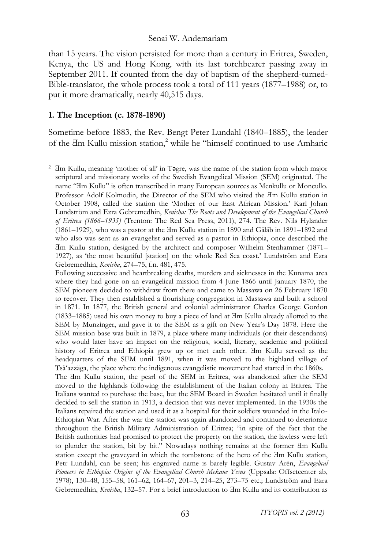Kenya, the US and Hong Kong, with its last torchbearer passing away in September 2011. If counted from the day of baptism of the shepherd-turned-Bible-translator, the whole process took a total of 111 years (1877–1988) or, to than 15 years. The vision persisted for more than a century in Eritrea, Sweden, put it more dramatically, nearly 40,515 days.

#### **1. The Inception (c. 1878-1890)**

-

The 18th International Conference of Ethiopian Studies in Dirre Dawa: Sometime before 1883, the Rev. Bengt Peter Lundahl (1840–1885), the leader of the  $\text{Im}$  Kullu mission station,<sup>2</sup> while he "himself continued to use Amharic

<sup>&</sup>lt;sup>2</sup> Im Kullu, meaning 'mother of all' in Tagre, was the name of the station from which major scriptural and missionary works of the Swedish Evangelical Mission (SEM) originated. The The Mikael II Collection Control and Collection Accept Library Accepts for the Mikael School and Professor Adolf Kolmodin, the Director of the SEM who visited the ∃m Kullu station in October 1908, called the station the 'Mother of our East African Mission.' Karl Johan Lunustrom and Ezra Gebremedium, *Kenisha: The Koots and Development of the Evangelical Church*<br>*of Eritrea (1866–1935)* (Trenton: The Red Sea Press, 2011), 274. The Rev. Nils Hylander (1861–1929), who was a pastor at the ∃m Kullu station in 1890 and Gäläb in 1891–1892 and who also was sent as an evangelist and served as a pastor in Ethiopia, once described the Hm Kullu station, designed by the architect and composer Wilhelm Stenhammer (1871– International Workshop on "Culture, Environment and Development" name "Ǝm Kullu" is often transcribed in many European sources as Menkullu or Moncullo. Lundström and Ezra Gebremedhin, *Kenisha: The Roots and Development of the Evangelical Church*  1927), as 'the most beautiful [station] on the whole Red Sea coast.' Lundström and Ezra Gebremedhin, *Kenisha*, 274*–*75, f.n. 481, 475.

Following successive and heartbreaking deaths, murders and sicknesses in the Kunama area where they had gone on an evangelical mission from 4 June 1866 until January 1870, the<br>SEM signature decided to with drug from these and same to Massum an 26 February 1970 of Hildesheim, profects decided to whitehaw from there and earne to massawa on 2012 cordary 1070 to recover. They then established a flourishing congregation in Massawa and built a school in 1871. In 1877, the British general and colonial administrator Charles George Gordon (1833–1885) used his own money to buy a piece of land at  $\overline{H}$ m Kullu already allotted to the SEM by Magninger and carry it to the SEM as a city on New Yorks Day 1979. Here the SEM by Multizuger, and gave it to the SEM as a gift on New Year's Day 1070. Here the<br>SEM mission base was built in 1879, a place where many individuals (or their descendants) who would later have an impact on the religious, social, literary, academic and political SEM pioneers decided to withdraw from there and came to Massawa on 26 February 1870 SEM by Munzinger, and gave it to the SEM as a gift on New Year's Day 1878. Here the history of Eritrea and Ethiopia grew up or met each other.  $\mathcal{F}_1$ m Kullu served as the headquarters of the SEM until 1891, when it was moved to the highland village of Tsä'azzäga, the place where the indigenous evangelistic movement had started in the 1860s.

Italians wanted to purchase the base, but the SEM Board in Sweden hesitated until it finally decided to sell the station in 1913, a decision that was never implemented. In the 1930s the question in local traditions of gold minimized minimized minimized minimized minimized minimized minimized materials. (Wolbert SMIDT, in collaboration with GEBREMICHAEL Nguse) 181 throughout the British Military Administration of Eritrea; "in spite of the fact that the Pioneers in Ethiopia: Origins of the Evangelical Church Mekane Yesus (Uppsala: Offsetcenter ab,<br>1979), 120, 19, 15, 59, 161, 62, 164, 67, 201, 2, 214, 25, 272, 75, stars I undetailling and Engl ioni and Ezia<br>contribution 28 The Ǝm Kullu station, the pearl of the SEM in Eritrea, was abandoned after the SEM moved to the highlands following the establishment of the Italian colony in Eritrea. The Italians repaired the station and used it as a hospital for their soldiers wounded in the Italo-Ethiopian War. After the war the station was again abandoned and continued to deteriorate British authorities had promised to protect the property on the station, the lawless were left to plunder the station, bit by bit." Nowadays nothing remains at the former  $\overline{H}$ m Kullu station except the graveyard in which the tombstone of the hero of the  $\overline{H}$ m Kullu station, Petr Lundahl, can be seen; his engraved name is barely legible. Gustav Arén, *Evangelical*  1978), 130*–*48, 155*–*58, 161*–*62, 164*–*67, 201*–*3, 214*–*25, 273*–*75 etc.; Lundström and Ezra Gebremedhin, *Kenisha*, 132–57. For a brief introduction to  $\overline{A}$ m Kullu and its contribution as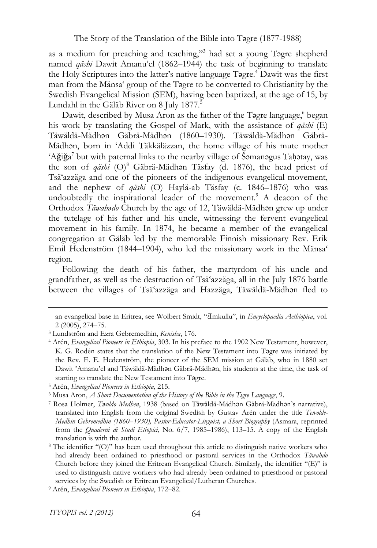named *qäshi* Dawit Amanu'el (1862–1944) the task of beginning to translate the Holy Scriptures into the latter's native language Tagre.<sup>4</sup> Dawit was the first man from the Mänsa' group of the Togre to be converted to Christianity by the as a medium for preaching and teaching,"<sup>3</sup> had set a young Tagre shepherd Swedish Evangelical Mission (SEM), having been baptized, at the age of 15, by Lundahl in the Gäläb River on 8 July  $1877$ <sup>5</sup>

his work by translating the Gospel of Mark, with the assistance of *qäshi* (E) Täwäldä-Mädhǝn Gäbrä-Mädhǝn (1860–1930). Täwäldä-Mädhǝn Gäbrä-Mädhan, born in 'Addi Täkkäläzzan, the home village of his mute mother 'Aǧiǧa<sup>7</sup> but with paternal links to the nearby village of Šǝmanǝgus Taḥǝtay, was the son of *qäshi* (O)<sup>8</sup> Gäbrä-Mädhən Täsfay (d. 1876), the head priest of Tsä'azzäga and one of the pioneers of the indigenous evangelical movement, and the hephew of  $q_{asbl}$  (O) Trayia-ab Tastay (C. 1040–1070) who was undoubtedly the inspirational leader of the movement.<sup>9</sup> A deacon of the andoubitedly the Inspirational feader of the movement. *TV* deacon of the Orthodox *Täwahado* Church by the age of 12, Täwäldä-Mädhən grew up under the tutelage of his father and his uncle, witnessing the fervent evangelical movement in his family. In 1874, he became a member of the evangelical congregation at Gäläb led by the memorable Finnish missionary Rev. Erik Emil Hedenström (1844–1904), who led the missionary work in the Mänsa' **International Workshop on "Culture, Environment and Development and Development and Development and Development and Development and Development and Development and Development and Development and Development and Developme** Dawit, described by Musa Aron as the father of the Tagre language, began and the nephew of *qäshi* (O) Haylä-ab Täsfay (c. 1846*–*1876) who was region.

Following the death of his father, the martyrdom of his uncle and From Ambivalence to Acceptance – International Conference on *Azmari* between the villages of Tsäʻazzäga and Hazzäga, Täwäldä-Mädhən fled to grandfather, as well as the destruction of Tsä'azzäga, all in the July 1876 battle

(Andreas WETTER) 164 (Andreas WETTER) 164 (Andreas WETTER) 164 (Andreas WETTER) 164 (Andreas WETTER) 164 (Andreas WETTER) 164 (Andreas WETTER) 164 (Andreas WETTER) 164 (Andreas WETTER) 164 (Andreas WETTER) 164 (Andreas WET

an evangelical base in Eritrea, see Wolbert Smidt, "Imkullu", in *Encyclopaedia Aethiopica*, vol.<br>2.0005.274.75 2 (2005), 274*–*75.

<sup>&</sup>lt;sup>3</sup> Lundström and Ezra Gebremedhin, Kenisha, 176.

<sup>&</sup>lt;sup>3</sup> Lundström and Ezra Gebremedhin, *Kenisha*, 176.<br><sup>4</sup> Arén, *Evangelical Pioneers in Ethiopia*, 303. In his preface to the 1902 New Testament, however, Dawit 'Amanu'el and Täwäldä-Mädh**ǝ**n Gäbrä-Mädhǝn, his students at the time, the task of K. G. Rodén states that the translation of the New Testament into Tǝgre was initiated by the Rev. E. E. Hedenström, the pioneer of the SEM mission at Gäläb, who in 1880 set

<sup>&</sup>lt;sup>5</sup> Arén, *Evangelical Pioneers in Ethiopia*, 215.<br><sup>6</sup> Musa Aron, *A Short Documentation of the History of the Bible in the Tigre Language*, 9.

starting to translate the New Testament into Togre.<br><sup>5</sup> Arén, *Evangelical Pioneers in Ethiopia*, 215.<br><sup>6</sup> Musa Aron, *A Short Documentation of the History of the Bible in the Tigre Language*, 9.<br><sup>7</sup> Rosa Holmer, *Twoldo M* translated into English from the original Swedish by Gustav Arén under the title *Tewolde-*<br>
Minimage of gold and part of the title *State of the title Charles the Charles of the title Charles the Charles of the title* Niedmin Gebremedinin (1860–1990), Pasior-Educator-Emgaist, a *Short Biography* (Assinara, reprificed from the *Quaderni di Studi Etiopici*, No. 6/7, 1985–1986), 113–15. A copy of the English *Medhin Gebremedhin (1860–1930), Pastor-Educator-Linguist, a Short Biography* (Asmara, reprinted translation is with the author.

had already been ordained to priesthood or pastoral services in the Orthodox *Täwahdo* used to distinguish native workers who had already been ordained to priesthood or pastoral services by the Swedish or Eritrean Evangelical/Lutheran Churches.<br><sup>9</sup> Arén, *Evangelical Pioneers in Ethiopia*, 172–82. <sup>8</sup> The identifier "(O)" has been used throughout this article to distinguish native workers who Church before they joined the Eritrean Evangelical Church. Similarly, the identifier "(E)" is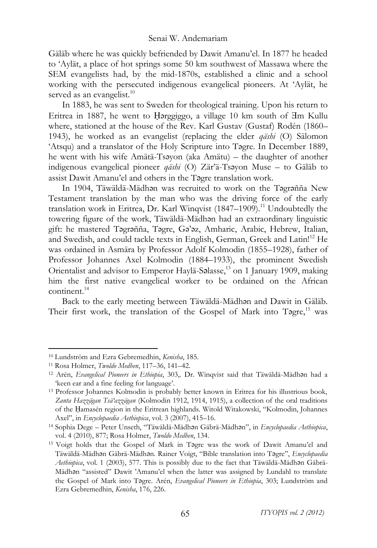to 'Aylät, a place of hot springs some 50 km southwest of Massawa where the SEM evangelists had, by the mid-1870s, established a clinic and a school working with the persecuted indigenous evangelical pioneers. At 'Aylät, he Gäläb where he was quickly befriended by Dawit Amanu'el. In 1877 he headed served as an evangelist. $10$ 

where, stationed at the house of the Rev. Karl Gustav (Gustaf) Rodén (1860– 1943), he worked as an evangelist (replacing the elder *qäshi* (O) Sälomon 'Atsqu) and a translator of the Holy Scripture into Togre. In December 1889, he went with his wife Amätä-Tsǝyon (aka Amätu) – the daughter of another indigenous evangelical pioneer *qäshi* (O) Zär'ä-Tsəyon Muse – to Gäläb to In 1883, he was sent to Sweden for theological training. Upon his return to Eritrea in 1887, he went to Harggiggo, a village 10 km south of  $\overline{3}$ m Kullu assist Dawit Amanu'el and others in the Tǝgre translation work.

In 1904, Täwäldä-Mädhǝn was recruited to work on the Tǝgrǝñña New  $\mathcal{F}$ aniguration (ATELE Beker towering figure of the work, Täwäldä-Mädhǝn had an extraordinary linguistic gift: he mastered Təgrəñña, Təgre, Gə'əz, Amharic, Arabic, Hebrew, Italian, and Swedish, and could tackle texts in English, German, Greek and Latin!<sup>12</sup> He was ordained in Asmära by Professor Adolf Kolmodin (1855–1928), father of Professor Johannes Axel Kolmodin (1884–1933), the prominent Swedish Orientalist and advisor to Emperor Haylä-Salasse,<sup>13</sup> on 1 January 1909, making him the first native evangelical worker to be ordained on the African  $\ddot{E}$  Ethiopia,  $\ddot{E}$  and  $\ddot{E}$  and  $\ddot{E}$ Testament translation by the man who was the driving force of the early translation work in Eritrea, Dr. Karl Winqvist (1847*–*1909). <sup>11</sup> Undoubtedly the continent.14

The HI Galad.<br> $\Gamma$ - 15  $\mathcal{O}$  the History and Culture of the Horn of  $\mathcal{O}$ Back to the early meeting between Täwäldä-Mädhǝn and Dawit in Gäläb. Their first work, the translation of the Gospel of Mark into Tagre,<sup>15</sup> was

<sup>10</sup> Lundström and Ezra Gebremedhin, *Kenisha*, 185. 11 Rosa Holmer, *Twoldo Medhen*, 117*–*36, 141*–*42. 12 Arén, *Evangelical Pioneers in Ethiopia*, 303,. Dr. Winqvist said that Täwäldä-Mädhǝn had a 'keen ear and a fine feeling for language'.

<sup>&</sup>lt;sup>13</sup> Professor Johannes Kolmodin is probably better known in Eritrea for his illustrious book, zama Frazzagan Tsa azzagan (Konnodin 1912, 1914, 1915), a conection of the Oral traditions<br>of the Ḥamasén region in the Eritrean highlands. Witold Witakowski, "Kolmodin, Johannes  $\sum_{i=1}^n$ Axel", in Encyclopaedia Aethiopica, vol. 3 (2007), 415–16.<br><sup>14</sup> Sophia Dege – Peter Unseth, "Täwäldä-Mädhən Gäbrä-Mädhən", in Encyclopaedia Aethiopica, *Zanta Hazzägan Tsä'azzägan* (Kolmodin 1912, 1914, 1915), a collection of the oral traditions

vol. 4 (2010), 877; Rosa Holmer, *Twoldo Medhen*, 134.<br><sup>15</sup> Voigt holds that the Gospel of Mark in Tagre was the work of Dawit Amanu'el and

Mädhǝn "assisted" Dawit 'Amanu'el when the latter was assigned by Lundahl to translate and Mexicon and Täwäldä-Mädhǝn Gäbrä-Mädhǝn. Rainer Voigt, "Bible translation into Tǝgre", *Encyclopaedia*  Aethiopica, vol. 1 (2003), 577. This is possibly due to the fact that Täwäldä-Mädhan Gäbräthe Gospel of Mark into Tǝgre. Arén, *Evangelical Pioneers in Ethiopia*, 303; Lundström and Ezra Gebremedhin, *Kenisha*, 176, 226.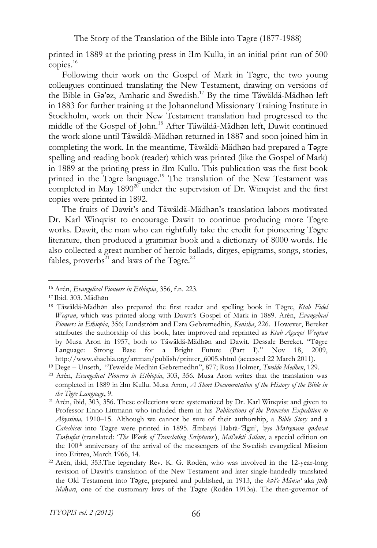$\text{copies.}^{16}$ printed in 1889 at the printing press in  $\text{Im}$  Kullu, in an initial print run of 500

Following their work on the Gospel of Mark in Tagre, the two young colleagues continued translating the New Testament, drawing on versions of in 1883 for further training at the Johannelund Missionary Training Institute in middle of the Gospel of John.<sup>18</sup> After Täwäldä-Mädhən left, Dawit continued the work alone until Täwäldä-Mädhǝn returned in 1887 and soon joined him in completing the work. In the meantime, Täwäldä-Mädhan had prepared a Tagre spelling and reading book (reader) which was printed (like the Gospel of Mark) in 1889 at the printing press in  $\text{Im}$  Kullu. This publication was the first book printed in the Tagre language.<sup>19</sup> The translation of the New Testament was completed in May  $1890^{20}$  under the supervision of Dr. Winqvist and the first refe printed in 1892.<br>Catel Canadia I and The Pilipines (ATELE Bekering) 1534 – Inauguration (ATELE Bekering) 1534 – Inauguration (A the Bible in Gǝ'ǝz, Amharic and Swedish.<sup>17</sup> By the time Täwäldä-Mädhǝn left Stockholm, work on their New Testament translation had progressed to the copies were printed in 1892.

Dr. Karl Winqvist to encourage Dawit to continue producing more Tǝgre works. Dawit, the man who can rightfully take the credit for pioneering Tǝgre literature, then produced a grammar book and a dictionary of 8000 words. He also collected a great number of heroic ballads, dirges, epigrams, songs, stories, fables, proverbs<sup>21</sup> and laws of the Tǝgre.<sup>22</sup> The fruits of Dawit's and Täwäldä-Mädhǝn's translation labors motivated

<sup>16</sup> Arén, *Evangelical Pioneers in Ethiopia*, 356, f.n. 223.<br><sup>17</sup> Ibid. 303. Mädh**ə**n

<sup>&</sup>lt;sup>17</sup> Ibid. 303. Mädhan

<sup>&</sup>lt;sup>18</sup> Täwäldä-Mädhan also prepared the first reader and spelling book in Tagre, *Ktab Fidel* w eqran, which was printed atong with Dawit's Gosper of Mark in 1669. Aren, *Evangental*<br>Pioneers in Ethiopia, 356; Lundström and Ezra Gebremedhin, *Kenisha*, 226. However, Bereket Attributes in Elistopia, 550, Editection and Elista Sebsemedium, Nehlish, 220. 116 wever, Bereick attributes the authorship of this book, later improved and reprinted as *Ktab Agazot Weqran* by Musa Aron in 1957, both to Täwäldä-Mädhan and Dawit. Dessale Bereket. "Tagre http://www.shaebia.org/artman/publish/printer\_6005.shtml (accessed 22 March 2011).<br><sup>19</sup> Dege – Unseth, "Tewelde Medhin Gebremedhn", 877; Rosa Holmer, *Twoldo Medhen*, 129.<br><sup>20</sup> Arén, *Evangelical Pioneers in Ethiopia*, 303 *Weqran*, which was printed along with Dawit's Gospel of Mark in 1889. Arén, *Evangelical*  Language: Strong Base for a Bright Future (Part I)." Nov 18, 2009,

the Tigre Language, 9. completed in 1889 in  $\mathbb{H}_m$  Kullu. Musa Aron, *A Short Documentation of the History of the Bible in* 

*the Tigre Language*, 9.<br><sup>21</sup> Arén, ibid, 303, 356. These collections were systematized by Dr. Karl Winqvist and given to ongoing research on local traditions of gold mining in Tigray *Abyssinia,* 1910–15. Although we cannot be sure of their authorship, a *Bible Story* and a *Catechism* into Tǝgre were printed in 1895. Imbayä Habtä-'dgzi', '*a*yo Matrgwam qadusat Professor Enno Littmann who included them in his *Publications of the Princeton Expedition to Tsǝḥufat* (translated: '*The Work of Translating Scriptures'*), *Mäl'ǝkti Sälam*, a special edition on the 100th anniversary of the arrival of the messengers of the Swedish evangelical Mission

**Research Abstracts** into Eritrea, March 1966, 14. 22 Arén, ibid, 353.The legendary Rev. K. G. Rodén, who was involved in the 12-year-long revision of Dawit's translation of the New Testament and later single-handedly translated<br>the Old Testament into Testament and sublished in 1912 the *lea<sup>n</sup>s</sub>* Mänschels feth *Mähari*, one of the customary laws of the Tegre (Rodén 1913a). The then-governor of *Mähari*, one of the customary laws of the Tegre (Rodén 1913a). The then-governor of the Old Testament into Tǝgre, prepared and published, in 1913, the *kǝl'e Mänsa'* aka *fǝtḥ*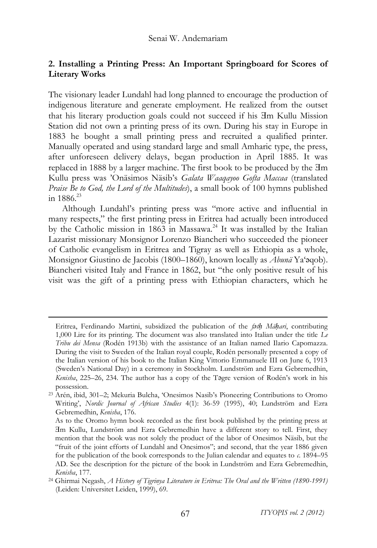# 2. Installing a Printing Press: An Important Springboard for Scores of **Literary Works**

Station did not own a printing press of its own. During his stay in Europe in 1883 he bought a small printing press and recruited a qualified printer. Manually operated and using standard large and small Amharic type, the press, after unforeseen delivery delays, began production in April 1885. It was replaced in 1888 by a larger machine. The first book to be produced by the  $\rm{Hm}$ Kullu press was 'Onäsimos Näsib's *Galata Waaqayoo Gofta Maccaa* (translated The Mikael Iyasu Library: Mekelle University Acquires 2,500 Books from the *Praise Be to God, the Lord of the Multitudes*), a small book of 100 hymns published  $\sigma$  –  $\sim$  1533 The visionary leader Lundahl had long planned to encourage the production of indigenous literature and generate employment. He realized from the outset that his literary production goals could not succeed if his  $\overline{H}$ m Kullu Mission in  $1886^{23}$ 

many respects," the first printing press in Eritrea had actually been introduced by the Catholic mission in 1863 in Massawa.<sup>24</sup> It was installed by the Italian Lazarist missionary Monsignor Lorenzo Biancheri who succeeded the pioneer of Catholic evangelism in Eritrea and Tigray as well as Ethiopia as a whole, Monsignor Giustino de Jacobis (1800–1860), known locally as *Abunä* Ya'ǝqob). Biancheri visited Italy and France in 1862, but "the only positive result of his visit was the gift of a printing press with Ethiopian characters, which he Although Lundahl's printing press was "more active and influential in

 $W_{\text{total}}$  of the History and Culture of the Horn of  $\frac{1}{\sqrt{2}}$  $\mathcal{H}_k$  contributing  $\alpha$  Capomazza Eritrea, Ferdinando Martini, subsidized the publication of the *fǝtḥ Mäḥari*, contributing 1,000 Lire for its printing. The document was also translated into Italian under the title *Le Tribu dei Mensa* (Rodén 1913b) with the assistance of an Italian named Ilario Capomazza. During the visit to Sweden of the Italian royal couple, Rodén personally presented a copy of the Italian version of his book to the Italian King Vittorio Emmanuele III on June 6, 1913 (Sweden's National Day) in a ceremony in Stockholm. Lundström and Ezra Gebremedhin, *Kenisha*, 225*–*26, 234. The author has a copy of the Tǝgre version of Rodén's work in his

possession.<br><sup>23</sup> Arén, ibid, 301–2; Mekuria Bulcha, 'Onesimos Nasib's Pioneering Contributions to Oromo Writing', *Nordic Journal of African Studies* 4(1): 36-59 (1995), 40; Lundström and Ezra ongoing research on local traditions of gold mining in Tigray Gebremedhin, *Kenisha*, 176.

mung press at and the Gebrer SMIDT, in collaboration with Gebrer SMIDT, in collaboration with Gebrer SMIDT and MIDT and the SMIDT and SMIDT and SMIDT and SMIDT and SMIDT and SMIDT and SMIDT and SMIDT and SMIDT and SMIDT an  $\mathcal{S}_{\text{tot}}$   $\mathcal{S}_{\text{tot}}$  (4.000, 4.004) As to the Oromo hymn book recorded as the first book published by the printing press at Ǝm Kullu, Lundström and Ezra Gebremedhin have a different story to tell. First, they mention that the book was not solely the product of the labor of Onesimos Näsib, but the "fruit of the joint efforts of Lundahl and Onesimos"; and second, that the year 1886 given for the publication of the book corresponds to the Julian calendar and equates to *c*. 1894*–*95 AD. See the description for the picture of the book in Lundström and Ezra Gebremedhin,

 $\frac{1}{2}$  (1890-1991) *Kenisha*, 177. 24 Ghirmai Negash, *A History of Tigrinya Literature in Eritrea: The Oral and the Written (1890-1991)* (Leiden: Universitet Leiden, 1999), 69.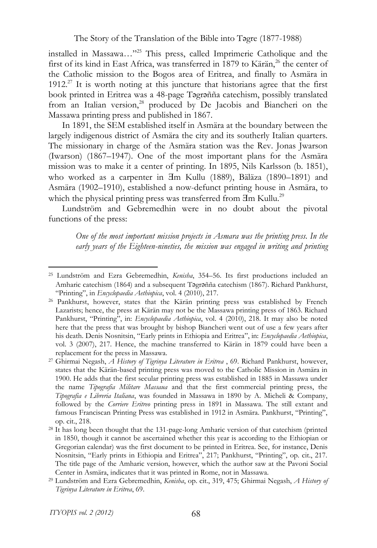first of its kind in East Africa, was transferred in 1879 to Kärän,<sup>26</sup> the center of the Catholic mission to the Bogos area of Eritrea, and finally to Asmära in 1912.<sup>27</sup> It is worth noting at this juncture that historians agree that the first from an Italian version,<sup>28</sup> produced by De Jacobis and Biancheri on the installed in Massawa…"25 This press, called Imprimerie Catholique and the book printed in Eritrea was a 48-page Tǝgrǝñña catechism, possibly translated Massawa printing press and published in 1867.

In 1891, the SEM established itself in Asmära at the boundary between the largely indigenous district of Asmära the city and its southerly Italian quarters. The missionary in charge of the Asmära station was the Rev. Jonas Jwarson (Iwarson) (1867–1947). One of the most important plans for the Asmära mission was to make it a center of printing. In 1895, Nils Karlsson (b. 1851), who worked as a carpenter in  $\text{Hm}$  Kullu (1889), Bäläza (1890–1891) and Asmära (1902–1910), established a now-defunct printing house in Asmära, to which the physical printing press was transferred from Ǝm Kullu.29

Family of the Late Mikael Iyasu – Inauguration (AYELE Bekerie) 153 Lundström and Gebremedhin were in no doubt about the pivotal functions of the press:  $\mathcal{L}_{\text{max}}$ 

One of the most important mission projects in Asmara was the printing press. In the early years of the Eighteen-nineties, the mission was engaged in writing and printing

<sup>&</sup>lt;sup>25</sup> Lundström and Ezra Gebremedhin, *Kenisha*, 354–56. Its first productions included an Amharic catechism (1864) and a subsequent Tagrañña catechism (1867). Richard Pankhurst, "Printing", in Encyclopaedia Aethiopica, vol. 4 (2010), 217.

Pankhurst, however, states that the Naran printing press was established by French<br>Lazarists; hence, the press at Kärän may not be the Massawa printing press of 1863. Richard Pankhurst, "Printing", in: *Encyclopaedia Aethiopica*, vol. 4 (2010), 218. It may also be noted here that the press that was brought by bishop Biancheri went out of use a few years after ins death. Denis Noshitshi, Early prints in Ethopia and Efficea , in. *Encylophedia Aethopia,*<br>vol. 3 (2007), 217. Hence, the machine transferred to Kärän in 1879 could have been a <sup>26</sup> Pankhurst, however, states that the Kärän printing press was established by French his death. Denis Nosnitsin, "Early prints in Ethiopia and Eritrea", in: *Encyclopaedia Aethiopica*,

states that the Kärän-based printing press was moved to the Catholic Mission in Asmära in A Journey to Central and Western Tigray (Dietrich RAUE) 169 *Tipografia e Libreria Italiana*, was founded in Massawa in 1890 by A. Micheli & Company, followed by the *Corriere Eritreo* printing press in 1891 in Massawa. The still extant and famous Franciscan Printing Press was established in 1912 in Asmära. Pankhurst, "Printing", op. cit., 218.<br><sup>28</sup> It has long been thought that the 131-page-long Amharic version of that catechism (printed replacement for the press in Massawa. 27 Ghirmai Negash, *A History of Tigrinya Literature in Eritrea* , 69. Richard Pankhurst, however, 1900. He adds that the first secular printing press was established in 1885 in Massawa under the name *Tipografia Militare Massaua* and that the first commercial printing press, the

**Research Abstracts** Nosnitsin, "Early prints in Ethiopia and Eritrea", 217; Pankhurst, "Printing", op. cit., 217. Center in Asmära, indicates that it was printed in Rome, not in Massawa. in 1850, though it cannot be ascertained whether this year is according to the Ethiopian or Gregorian calendar) was the first document to be printed in Eritrea. See, for instance, Denis The title page of the Amharic version, however, which the author saw at the Pavoni Social

Center in Asmära, indicates that it was printed in Rome, not in Massawa.<br><sup>29</sup> Lundström and Ezra Gebremedhin, *Kenisha*, op. cit., 319, 475; Ghirmai Negash, *A History of*<br>*Tigrima I iterature in Eritzea*, 69 *Tigrinya Literature in Eritrea*, 69.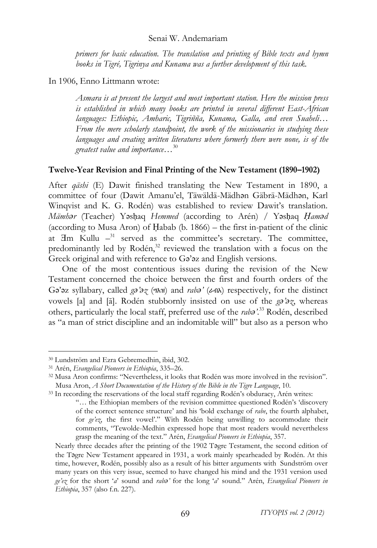books in Tigré, Tigrinya and Kunama was a further development of this task. *primers for basic education. The translation and printing of Bible texts and hymn* 

In 1906, Enno Littmann wrote:

anguages. Ethiopic, Ambara, Tigrinna, Kunama, Gatia, ana even Suabea...<br>From the mere scholarly standpoint, the work of the missionaries in studying these rem the mere sendary standpoint, the work of the missionaries in studying these to the larguages and creating written literatures where formerly there were none, is of the  $\sum_{i=1}^N$  is  $\sum_{i=1}^N$ *Asmara is at present the largest and most important station. Here the mission press is established in which many books are printed in several different East-African languages: Ethiopic, Amharic, Tigriñña, Kunama, Galla, and even Suaheli… greatest value and importance…*<sup>30</sup>

# Twelve-Year Revision and Final Printing of the New Testament (1890–1902)

 $(1000)$ committee of four (Dawit Amanu'el, Täwäldä-Mädhǝn Gäbrä-Mädhǝn, Karl Winqvist and K. G. Rodén) was established to review Dawit's translation. *Mämhar* (Teacher) Yǝsḥaq *Hemmed* (according to Arén) / Yǝsḥaq *Ḥamad* (according to Musa Aron) of Ḥabab (b. 1866) – the first in-patient of the clinic at  $\overline{A}$ m Kullu  $-$ <sup>31</sup> served as the committee's secretary. The committee, predominantly led by Rodén,<sup>32</sup> reviewed the translation with a focus on the  $SIOIS.$ After *qäshi* (E) Dawit finished translating the New Testament in 1890, a Greek original and with reference to Ga'az and English versions.

One of the most contentious issues during the revision of the New From Ambivalence to Acceptance – International Conference on *Azmari* Gǝ'ǝz syllabary, called *gǝ'ǝz* (ግእዝ) and *rabǝ'* (ራብእ) respectively, for the distinct  $\frac{1}{2}$   $\frac{1}{2}$  $\sigma_{\gamma}$ , whereas  $\sigma_{\gamma}$ as "a man of strict discipline and an indomitable will" but also as a person who  $\mathbf{1}$ Testament concerned the choice between the first and fourth orders of the vowels [a] and [ā]. Rodén stubbornly insisted on use of the *gǝ'ǝz*, whereas others, particularly the local staff, preferred use of the *rabǝ'*. <sup>33</sup> Rodén, described

<sup>30</sup> Lundström and Ezra Gebremedhin, ibid, 302.

<sup>31</sup> Arén, *Evangelical Pioneers in Ethiopia*, 335*–*26.

Musa Aron, *A Short Documentation of the History of the Bible in the Tigre Language*, 10.<br><sup>33</sup> In recording the reservations of the local staff regarding Rodén's obduracy, Arén writes: <sup>32</sup> Musa Aron confirms: "Nevertheless, it looks that Rodén was more involved in the revision".

<sup>&</sup>quot;... the Ethiopian members of the revision committee questioned Rodén's 'discovery on the correct sentence structure and his bold exchange of *rabe*, the fourth applabet, for *ge'ez*, the first vowel'." With Rodén being unwilling to accommodate their comments, "Tewolde-Medhin expressed hope that most readers would nevertheless of the correct sentence structure' and his 'bold exchange of *rabe*, the fourth alphabet, grasp the meaning of the text." Arén, *Evangelical Pioneers in Ethiopia*, 357.

many years on this very issue, seemed to have changed his mind and the 1931 version used at Mekenders in Nearly three decades after the printing of the 1902 Tǝgre Testament, the second edition of the Tǝgre New Testament appeared in 1931, a work mainly spearheaded by Rodén. At this time, however, Rodén, possibly also as a result of his bitter arguments with Sundström over *ge'ez* for the short '*a*' sound and *rabǝ'* for the long '*a*' sound." Arén, *Evangelical Pioneers in Ethiopia*, 357 (also f.n. 227).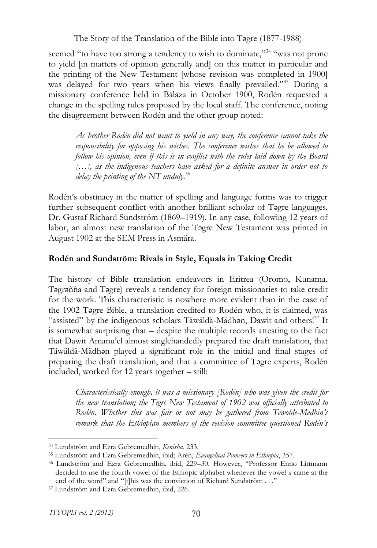to yield [in matters of opinion generally and] on this matter in particular and the printing of the New Testament [whose revision was completed in 1900] was delayed for two years when his views finally prevailed."<sup>35</sup> During a change in the spelling rules proposed by the local staff. The conference, noting  $\frac{1}{\sqrt{16}}$ seemed "to have too strong a tendency to wish to dominate,"<sup>34</sup> "was not prone missionary conference held in Bäläza in October 1900, Rodén requested a the disagreement between Rodén and the other group noted:

As brother Rodén did not want to yield in any way, the conference cannot take the responsibility for opposing his wishes. The conference wishes that he be allowed to follow his opinion, even if this is in conflict with the rules laid down by the Board [...], as the indigenous teachers have asked for a definite answer in order not to delay the printing of the NT unduly.<sup>36</sup>

Rodén's obstinacy in the matter of spelling and language forms was to trigger Family of the Late Mike and the Late Mikael and the Late Mikael Islam was to the extent further subsequent conflict with another brilliant scholar of Tagre languages, Dr. Gustaf Richard Sundström (1869–1919). In any case, following 12 years of labor, an almost new translation of the Tǝgre New Testament was printed in August 1902 at the SEM Press in Asmära.

# Rodén and Sundström: Rivals in Style, Equals in Taking Credit

Tegrǝñña and Tǝgre) reveals a tendency for foreign missionaries to take credit Figuria, and Figuria and Higheshall and Highesheim, 6  $\alpha$  and the case of for the work. This characteristic is nowhere more evident than in the case of the 1902 Tegre Bible, a translation credited to Rodén who, it is claimed, was "assisted" by the indigenous scholars Täwäldä-Mädhǝn, Dawit and others!<sup>37</sup> It is somewhat surprising that – despite the multiple records attesting to the fact that Dawit Amanu'el almost singlehandedly prepared the draft translation, that included, worked for 12 years together – still: The history of Bible translation endeavors in Eritrea (Oromo, Kunama, Täwäldä-Mädhǝn played a significant role in the initial and final stages of preparing the draft translation, and that a committee of Tǝgre experts, Rodén

Characteristically enough, it was a missionary [Rodén] who was given the credit for the new translation; the Tigré New Testament of 1902 was officially attributed to Rodén. Whether this was fair or not may be gathered from Tewolde-Medhin's *remark that the Ethiopian members of the revision committee questioned Rodén's* 

<sup>&</sup>lt;u>.</u>

<sup>&</sup>lt;sup>35</sup> Lundström and Ezra Gebremedhin, ibid; Arén, Evangelical Pioneers in Ethiopia, 357.

decided to use the fourth vowel of the Ethiopic alphabet whenever the vowel *a* came at the end of the word" and "[t]his was the conviction of Richard Sundström . . ."<br>Lundström and Ezra Gebremedbin, ibid. 226 <sup>34</sup> Lundström and Ezra Gebremedhin, *Kenisha*, 233.<br><sup>35</sup> Lundström and Ezra Gebremedhin, ibid; Arén, *Evangelical Pioneers in Ethiopia*, 357.<br><sup>36</sup> Lundström and Ezra Gebremedhin, ibid, 229–30. However, "Professor Enno Lit

<sup>37</sup> Lundström and Ezra Gebremedhin, ibid, 226.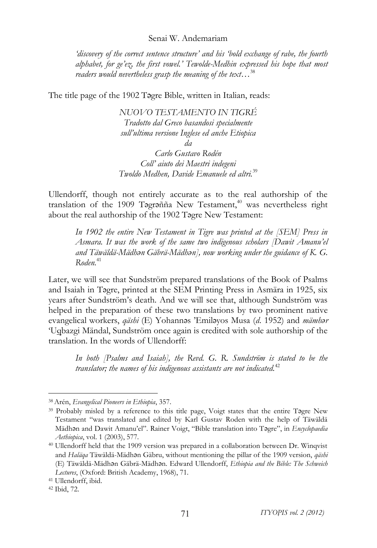alphabet, for ge'ez, the first vowel.' Tewolde-Medhin expressed his hope that most *'discovery of the correct sentence structure' and his 'bold exchange of rabe, the fourth readers would nevertheless grasp the meaning of the text…*<sup>38</sup>

The title page of the 1902 Tagre Bible, written in Italian, reads:

*NUOVO TESTAMENTO IN TIGRÉ* 

*Tradotto dal Greco basandosi specialmente sull'ultima versione Inglese ed anche Etiopica*

*da*

*Carlo Gustavo Rodén Coll' aiuto dei Maestri indegeni Twoldo Medhen, Davide Emanuele ed altri.*<sup>39</sup>

Ullendorff, though not entirely accurate as to the real authorship of the translation of the 1909 Tegreñña New Testament,<sup>40</sup> was nevertheless right  $\mathfrak{m}$ about the real authorship of the 1902 Tǝgre New Testament:

 $CMI$  Decay in  $\mathcal{L}[\mathcal{W}]$  I ress in  $\sum_{i=1}^{N}$ International Workshop on "Culture, Environment and Development" *In 1902 the entire New Testament in Tigre was printed at the [SEM] Press in Asmara. It was the work of the same two indigenous scholars [Dawit Amanu'el and Täwäldä-Mädhǝn Gäbrä-Mädhǝn], now working under the guidance of K. G. Roden.*<sup>41</sup>

From Ambives and Isaiah in Tegre, printed at the SEM Printing Press in Asmara in 1925, six  $\lim_{t \to \infty}$ ,  $\lim_{t \to \infty}$  $\frac{1}{1000}$  noting evangelical workers, *qäshi* (E) Yohannǝs 'Emilǝyos Musa (*d*. 1952) and *mämh*ər 'Uqbazgi Mändal, Sundström once again is credited with sole authorship of the Later, we will see that Sundström prepared translations of the Book of Psalms years after Sundström's death. And we will see that, although Sundström was helped in the preparation of these two translations by two prominent native translation. In the words of Ullendorff:

*In both [Psalms and Isaiah], the Revd. G. R. Sundström is stated to be the translator; the names of his indigenous assistants are not indicated.*<sup>42</sup>

<sup>-</sup>

 $\mathcal{A} = \mathcal{A}$  the Aksumites originate in Tigray? re 19gre ivew<br>p of Täwäldä (Wolbert SMIDT, in collaboration with GEBREMICHAEL Nguse) 181 Mädhǝn and Dawit Amanu'el". Rainer Voigt, "Bible translation into Tǝgre", in *Encyclopaedia*  <sup>38</sup> Arén, *Evangelical Pioneers in Ethiopia*, 357.<br><sup>39</sup> Probably misled by a reference to this title page, Voigt states that the entire T**ǝ**gre New Testament "was translated and edited by Karl Gustav Roden with the help of Täwäldä *Aethiopica*, vol. 1 (2003), 577. 40 Ullendorff held that the 1909 version was prepared in a collaboration between Dr. Winqvist

and *Haläqa* Täwäldä-Mädhǝn Gäbru, without mentioning the pillar of the 1909 version, *qäshi* (E) Täwäldä-Mädhǝn Gäbrä-Mädhǝn. Edward Ullendorff, *Ethiopia and the Bible: The Schweich Lectures*, (Oxford: British Academy, 1968), 71. 41 Ullendorff, ibid.

<sup>42</sup> Ibid, 72.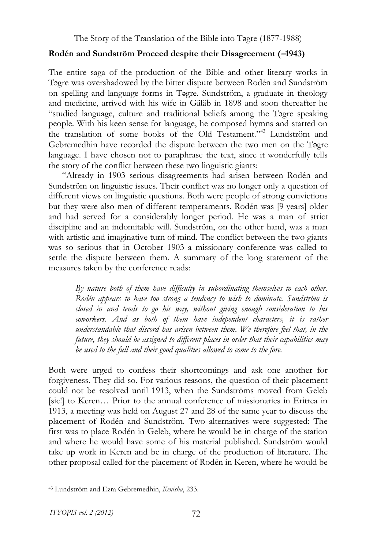## **Rodén and Sundström Proceed despite their Disagreement (–1943)**

Dereje Feyissa – Markus Virgil Hoehne: Borders and Borderlands as The entire saga of the production of the Bible and other literary works in Tagre was overshadowed by the bitter dispute between Rodén and Sundström and medicine, arrived with his wife in Gäläb in 1898 and soon thereafter he people. With his keen sense for language, he composed hymns and started on the translation of some books of the Old Testament."<sup>43</sup> Lundström and Gebremedhin have recorded the dispute between the two men on the Tagre language. I have chosen not to paraphrase the text, since it wonderfully tells the story of the conflict between these two linguistic giants: on spelling and language forms in Tǝgre. Sundström, a graduate in theology "studied language, culture and traditional beliefs among the Tǝgre speaking

"Already in 1903 serious disagreements had arisen between Rodén and different views on linguistic questions. Both were people of strong convictions ancelent the Con ingulation position Dolli Were people of strong convictions<br>but they were also men of different temperaments. Rodén was [9 years] older and had served for a considerably longer period. He was a man of strict discipline and an indomitable will. Sundström, on the other hand, was a man with artistic and imaginative turn of mind. The conflict between the two giants was so serious that in October 1903 a missionary conference was called to settle the dispute between them. A summary of the long statement of the measures taken by the conference reads: Sundström on linguistic issues. Their conflict was no longer only a question of

By nature both of them have difficulty in subordinating themselves to each other. *Rodén appears to have too strong a tendency to wish to dominate. Sundström is* closed in and tends to go his way, without giving enough consideration to his coworkers. And as both of them have independent characters, it is rather understandable that discord has arisen between them. We therefore feel that, in the future, they should be assigned to different places in order that their capabilities may *be used to the full and their good qualities allowed to come to the fore.* 

Both were urged to confess their shortcomings and ask one another for could not be resolved until 1913, when the Sundströms moved from Geleb [sic!] to Keren… Prior to the annual conference of missionaries in Eritrea in 1913, a meeting was held on August 27 and 28 of the same year to discuss the placement of Rodén and Sundström. Two alternatives were suggested: The research Abstracts and the metallic of the production of interature. The other proposal called for the placement of Rodén in Keren, where he would be forgiveness. They did so. For various reasons, the question of their placement first was to place Rodén in Geleb, where he would be in charge of the station and where he would have some of his material published. Sundström would take up work in Keren and be in charge of the production of literature. The

<sup>&</sup>lt;sup>43</sup> Lundström and Ezra Gebremedhin, *Kenisha*, 233.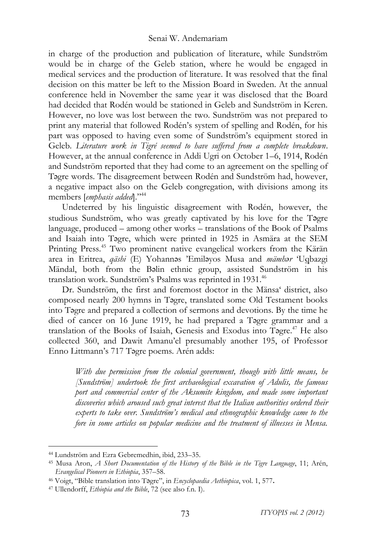would be in charge of the Geleb station, where he would be engaged in medical services and the production of literature. It was resolved that the final decision on this matter be left to the Mission Board in Sweden. At the annual print any material that followed Rodén's system of spelling and Rodén, for his part was opposed to having even some of Sundström's equipment stored in .<br>Geleb. *Literature work in Tigré seemed to have suffered from a complete breakdown*. However, at the annual conference in Addi Ugri on October 1–6, 1914, Rodén and Sundström reported that they had come to an agreement on the spelling of Tagre words. The disagreement between Rodén and Sundström had, however, The Mikael Iyasu Library: Mekelle University Acquires 2,500 Books from the in charge of the production and publication of literature, while Sundström conference held in November the same year it was disclosed that the Board had decided that Rodén would be stationed in Geleb and Sundström in Keren. However, no love was lost between the two. Sundström was not prepared to a negative impact also on the Geleb congregation, with divisions among its members [*emphasis added*]."44

 $\frac{1}{\sqrt{2}}$ studious Sundström, who was greatly captivated by his love for the Tagre language, produced – among other works – translations of the Book of Psalms and Isaiah into Tegre, which were printed in 1925 in Asmära at the SEM Printing Press.<sup>45</sup> Two prominent native evangelical workers from the Kärän area in Eritrea, *qäshi* (E) Yohannǝs 'Emilǝyos Musa and *mämh*ər 'Uqbazgi Mändal, both from the Bǝlin ethnic group, assisted Sundström in his Undeterred by his linguistic disagreement with Rodén, however, the translation work. Sundström's Psalms was reprinted in 1931.<sup>46</sup>

Station work: Sundström s 1 samis was reprinted in 1991.<br>Dr. Sundström, the first and foremost doctor in the Mänsa' district, also  $\frac{1}{2}$  and  $\frac{1}{2}$   $\frac{1}{2}$   $\frac{1}{2}$   $\frac{1}{2}$   $\frac{1}{2}$   $\frac{1}{2}$   $\frac{1}{2}$   $\frac{1}{2}$   $\frac{1}{2}$   $\frac{1}{2}$   $\frac{1}{2}$   $\frac{1}{2}$   $\frac{1}{2}$   $\frac{1}{2}$   $\frac{1}{2}$   $\frac{1}{2}$   $\frac{1}{2}$   $\frac{1}{2}$   $\frac{1}{2}$   $\frac{1}{2}$   $\frac{1}{2$  $\frac{1}{2}$ died of cancer on 16 June 1919, he had prepared a Tǝgre grammar and a translation of the Books of Isaiah, Genesis and Exodus into Tagre.<sup>47</sup> He also collected 360, and Dawit Amanu'el presumably another 195, of Professor composed nearly 200 hymns in Tǝgre, translated some Old Testament books into Tǝgre and prepared a collection of sermons and devotions. By the time he Enno Littmann's 717 Tǝgre poems. Arén adds:

port and commercial center of the Aksumite kingdom, and made some important discoveries which aroused such great interest that the Italian authorities ordered their experts to take over. Sundström's medical and ethnographic knowledge came to the fore in some articles on popular medicine and the treatment of illnesses in Mensa. *With due permission from the colonial government, though with little means, he [Sundström] undertook the first archaeological excavation of Adulis, the famous* 

<sup>44</sup> Lundström and Ezra Gebremedhin, ibid, 233*–*35.

 $\mathcal{L}$  research projects in social sciences and humanities and humanities and humanities and humanities and humanities and humanities and humanities and humanities and humanities and humanities and humanities and humani 45 Musa Aron, *A Short Documentation of the History of the Bible in the Tigre Language*, 11; Arén, *Evangelical Pioneers in Ethiopia*, 357*–*58. 46 Voigt, "Bible translation into Tǝgre", in *Encyclopaedia Aethiopica*, vol. 1, 577**.**

<sup>47</sup> Ullendorff, *Ethiopia and the Bible*, 72 (see also f.n. I).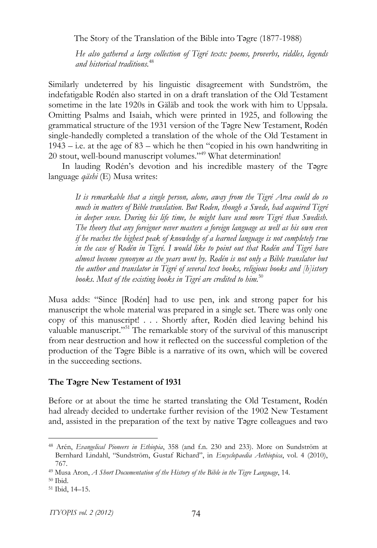and historical traditions.<sup>48</sup> *He also gathered a large collection of Tigré texts: poems, proverbs, riddles, legends* 

Similarly undeterred by his linguistic disagreement with Sundström, the sometime in the late 1920s in Gäläb and took the work with him to Uppsala. grammatical structure of the 1931 version of the Tǝgre New Testament, Rodén single-handedly completed a translation of the whole of the Old Testament in  $1943 - i.e.$  at the age of  $83 -$  which he then "copied in his own handwriting in 20 stout, well-bound manuscript volumes."<sup>49</sup> What determination! indefatigable Rodén also started in on a draft translation of the Old Testament Omitting Psalms and Isaiah, which were printed in 1925, and following the

In lauding Rodén's devotion and his incredible mastery of the Tagre language *qäshi* (E) Musa writes:

It is remarkable that a single person, alone, away from the Tigré Area could do so Family of the Late Mikael Iyasu – Inauguration (AYELE Bekerie) 153 *much in matters of Bible translation. But Roden, though a Swede, had acquired Tigré* in deeper sense. During his life time, he might have used more Tigré than Swedish. The theory that any foreigner never masters a foreign language as well as his own even if he reaches the highest peak of knowledge of a learned language is not completely true in the case of Rodén in Tigré. I would like to point out that Rodén and Tigré have almost become synonym as the years went by. Rodén is not only a Bible translator but the author and translator in Tigré of several text books, religious books and [h]istory From Ambivalence to Acceptance – International Conference on *Azmari books. Most of the existing books in Tigré are credited to him.*<sup>50</sup>

Musa adds: "Since [Rodén] had to use pen, ink and strong paper for his manuscript the whole material was prepared in a single set. There was only one copy of this manuscript! . . . Shortly after, Rodén died leaving behind his valuable manuscript."<sup>51</sup> The remarkable story of the survival of this manuscript from near destruction and how it reflected on the successful completion of the production of the Tǝgre Bible is a narrative of its own, which will be covered in the succeeding sections.

#### **The Tǝgre New Testament of 1931**

Before or at about the time he started translating the Old Testament, Rodén had already decided to undertake further revision of the 1902 New Testament and, assisted in the preparation of the text by native Tagre colleagues and two

Bernhard Lindahl, "Sundström, Gustaf Richard", in *Encyclopaedia Aethiopica*, vol. 4 (2010), 48 Arén, *Evangelical Pioneers in Ethiopia*, 358 (and f.n. 230 and 233). More on Sundström at 767.

<sup>&</sup>lt;sup>49</sup> Musa Aron, *A Short Documentation of the History of the Bible in the Tigre Language*, 14. <sup>50</sup> Ibid.

 $4.15$ 51 Ibid, 14*–*15.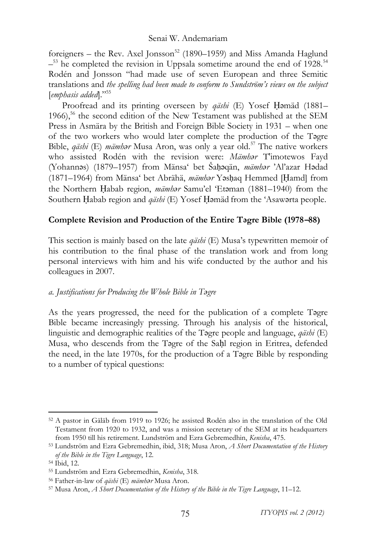$-$ <sup>53</sup> he completed the revision in Uppsala sometime around the end of 1928.<sup>54</sup> Rodén and Jonsson "had made use of seven European and three Semitic translations and *the spelling had been made to conform to Sundström's views on the subject* foreigners – the Rev. Axel Jonsson<sup>52</sup> (1890–1959) and Miss Amanda Haglund [*emphasis added*]."55

Press in Asmära by the British and Foreign Bible Society in 1931 – when one of the two workers who would later complete the production of the Tagre Bible, *qäshi* (E) *mämhar* Musa Aron, was only a year old.<sup>57</sup> The native workers who assisted Rodén with the revision were: *Mämhar* T'imotewos Fayd (Yohannəs) (1879–1957) from Mänsa' bet Šaḥǝqän, *mämhər '*Al'azar Hǝdad (1871–1964) from Mänsa' bet Abrähä, *mämhar* Yasḥaq Hemmed [Ḥamd] from the Northern Ḥabab region, *mämhar* Samu'el 'Etǝman (1881–1940) from the ərta people. Proofread and its printing overseen by *qäshi* (E) Yosef Hamäd (1881– 1966), $56$  the second edition of the New Testament was published at the SEM Southern Ḥabab region and *qäshi* (E) Yosef Ḥǝmäd from the 'Asawǝrta people.

### **Complete Revision and Production of the Entire Tagre Bible (1978–88)**  $\left( \frac{1}{2}, \frac{1}{2}, \frac{1}{2}, \frac{1}{2}, \frac{1}{2}, \frac{1}{2} \right)$

This section is mainly based on the late *qäshi* (E) Musa's typewritten memoir of  $\sum_{i=1}^{n}$  is contribution to the final phase of the translation work and from long personal interviews with him and his wife conducted by the author and his colleagues in 2007.

#### *a. Justifications for Producing the Whole Bible in Tǝgre*

 $(1 + \sqrt{15})$ Bible became increasingly pressing. Through his analysis of the historical, linguistic and demographic realities of the Tagre people and language, *qäshi* (E) Musa, who descends from the Tagre of the Saḥl region in Eritrea, defended As the years progressed, the need for the publication of a complete Tagre the need, in the late 1970s, for the production of a Tǝgre Bible by responding to a number of typical questions:

 $\sigma$  research on  $\sigma$  than  $\Omega$  is  $\Omega$ on or the Old<br>beadquarters <sup>52</sup> A pastor in Gäläb from 1919 to 1926; he assisted Rodén also in the translation of the Old Testament from 1920 to 1932, and was a mission secretary of the SEM at its headquarters from 1950 till his retirement. Lundström and Ezra Gebremedhin, *Kenisha*, 475. 53 Lundström and Ezra Gebremedhin, ibid, 318; Musa Aron, *A Short Documentation of the History* 

*of the Bible in the Tigre Language*, 12. 54 Ibid, 12.

<sup>55</sup> Lundström and Ezra Gebremedhin, *Kenisha*, 318*.* 

 $1\quad12$ <sup>56</sup> Father-in-law of *qäshi* (E) *mämhǝ<sup>r</sup>* Musa Aron. 57 Musa Aron, *A Short Documentation of the History of the Bible in the Tigre Language*, 11*–*12.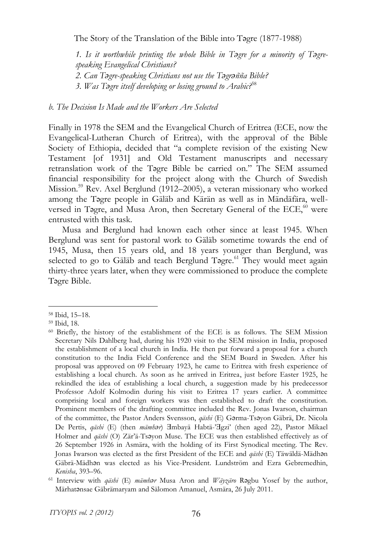Dereje Feyissa – Markus Virgil Hoehne: Borders and Borderlands as *speaking Evangelical Christians?* 2. Can T $a$ gre-speaking Christians not use the T $a$ gr $a$ ñña Bible? 3. Was T $\partial$ gre itself developing or losing ground to Arabic?<sup>58</sup> *1. Is it worthwhile printing the whole Bible in Tǝgre for a minority of Tǝgre-*

*b. The Decision Is Made and the Workers Are Selected* 

Finally in 1978 the SEM and the Evangelical Church of Eritrea (ECE, now the Evangelical-Lutheran Church of Eritrea), with the approval of the Bible Society of Ethiopia, decided that "a complete revision of the existing New Testament [of 1931] and Old Testament manuscripts and necessary retranslation work of the Tagre Bible be carried on." The SEM assumed financial responsibility for the project along with the Church of Swedish Mission.<sup>59</sup> Rev. Axel Berglund (1912–2005), a veteran missionary who worked among the Tagre people in Gäläb and Kärän as well as in Mändäfära, well-International Workshop on Documentation and Preservation and Preservation of Ethiopian of Ethiopian Continued with this task. versed in Tagre, and Musa Aron, then Secretary General of the ECE,<sup>60</sup> were

Musa and Berglund had known each other since at least 1945. When Berglund was sent for pastoral work to Gäläb sometime towards the end of 1945, Musa, then 15 years old, and 18 years younger than Berglund, was selected to go to Gäläb and teach Berglund Tagre.<sup>61</sup> They would meet again thirty-three years later, when they were commissioned to produce the complete From Ambivalence to Acceptance – International Conference on *Azmari* Tǝgre Bible.

(Andreas WETTER) 164 (Andreas WETTER) 164 (Andreas WETTER) 164 (Andreas WETTER) 164 (Andreas WETTER) 164 (Andr

 $W$  Did,  $15-10$ .<br>59 Thid  $18$ 58 Ibid, 15*–*18. 59 Ibid, 18.

<sup>60</sup> Briefly, the history of the establishment of the ECE is as follows. The SEM Mission Secretary Nils Dahlberg had, during his 1920 visit to the SEM mission in India, proposed **Research and Expedition Reports** establishing a local church. As soon as he arrived in Eritrea, just before Easter 1925, he Professor Adolf Kolmodin during his visit to Eritrea 17 years earlier. A committee Comprising focal and foreign workers was their established to draft the constitution.<br>Prominent members of the drafting committee included the Rev. Jonas Iwarson, chairman ongoing research on local traditions of gold mining in Tigray of the committee, the Pastor Anders Svensson, *qäshi* (E) Gǝrma-Tsǝyon Gäbrä, Dr. Nicola (Wolbert SMIDT, in collaboration with GEBREMICHAEL Nguse) 181 De Pertis, *qäshi* (E) (then *mämhǝr*) Ǝmbayä Habtä-'Ǝgzi' (then aged 22), Pastor Mikael **Research Abstracts** Jonas Iwarson was elected as the first President of the ECE and *qäshi* (E) Täwäldä-Mädhǝn the establishment of a local church in India. He then put forward a proposal for a church constitution to the India Field Conference and the SEM Board in Sweden. After his proposal was approved on 09 February 1923, he came to Eritrea with fresh experience of rekindled the idea of establishing a local church, a suggestion made by his predecessor comprising local and foreign workers was then established to draft the constitution. Holmer and *qäshi* (O) Zär'ä-Tsǝyon Muse. The ECE was then established effectively as of 26 September 1926 in Asmära, with the holding of its First Synodical meeting. The Rev. Gäbrä-Mädhǝn was elected as his Vice-President. Lundström and Ezra Gebremedhin,

*Kenisha*, 393–96.<br><sup>61</sup> Interview with *qäshi* (E) *mämh*ar Musa Aron and *Wäyzäro* Ragbu Yosef by the author,  $\frac{1}{2}$  Markovich With  $\frac{1}{2}$  Markovich Musa Trion and Wayzard Region Toset by the author,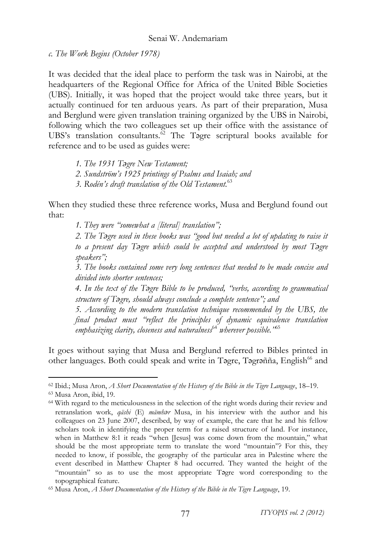*c. The Work Begins (October 1978)* 

It was decided that the ideal place to perform the task was in Nairobi, at the headquarters of the Regional Office for Africa of the United Bible Societies following which the two colleagues set up their office with the assistance of UBS's translation consultants.<sup> $\tilde{\alpha}$ </sup> The Tegre scriptural books available for (UBS). Initially, it was hoped that the project would take three years, but it actually continued for ten arduous years. As part of their preparation, Musa and Berglund were given translation training organized by the UBS in Nairobi, reference and to be used as guides were:

- *1. The 1931 Tǝgre New Testament;*
- *2. Sundström's 1925 printings of Psalms and Isaiah; and*
- *3. Rodén's draft translation of the Old Testament.*<sup>63</sup>

When they studied these three reference works, Musa and Berglund found out that:

*1. They were "somewhat a [literal] translation";*

2. The T $\partial$ gre used in these books was "good but needed a lot of updating to raise it *to a present day T***∂**gre which could be accepted and understood by most T**∂**gre International Workshop on "Culture, Environment and Development" *speakers";*

ae concise ana *3. The books contained some very long sentences that needed to be made concise and divided into shorter sentences;* 

*A.* In the text of the T $\overline{e}$ gre Bible to be produced, "verbs, according to grammatical  $\delta$ <sup>-</sup>  $\frac{1}{2}$   $\frac{1}{2}$ *structure of Tǝgre, should always conclude a complete sentence"; and*

*5. According to the modern translation technique recommended by the UBS, the* final product must "reflect the principles of dynamic equivalence translation *emphasizing clarity, closeness and naturalness*<sup>64</sup> *wherever possible."*<sup>65</sup>

It goes without saying that Musa and Berglund referred to Bibles printed in other languages. Both could speak and write in Tagre, Tagrañña, English<sup>66</sup> and

 $\alpha$  Language, 16–17. <sup>62</sup> Ibid.; Musa Aron, *A Short Documentation of the History of the Bible in the Tigre Language*, 18*–*19. 63 Musa Aron, ibid, 19.

<sup>&</sup>lt;sup>64</sup> With regard to the meticulousness in the selection of the right words during their review and retranslation work, *qäshi* (E) *mämhǝr* Musa, in his interview with the author and his relations of  $\frac{1}{2}$  mining  $\frac{1}{2}$  mining  $\frac{1}{2}$  mining  $\frac{1}{2}$  mining  $\frac{1}{2}$  mining  $\frac{1}{2}$  mining  $\frac{1}{2}$  mining  $\frac{M}{R}$  in collaboration with  $\frac{M}{R}$ "mountain" so as to use the most appropriate T $e$ gre word corresponding to the  $\alpha$ colleagues on 23 June 2007, described, by way of example, the care that he and his fellow scholars took in identifying the proper term for a raised structure of land. For instance, when in Matthew 8:1 it reads "when [Jesus] was come down from the mountain," what should be the most appropriate term to translate the word "mountain"? For this, they needed to know, if possible, the geography of the particular area in Palestine where the event described in Matthew Chapter 8 had occurred. They wanted the height of the

topographical feature. 65 Musa Aron, *A Short Documentation of the History of the Bible in the Tigre Language*, 19.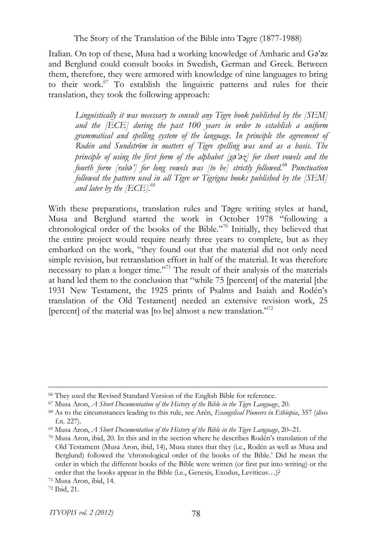and Berglund could consult books in Swedish, German and Greek. Between them, therefore, they were armored with knowledge of nine languages to bring to their work.<sup>67</sup> To establish the linguistic patterns and rules for their Italian. On top of these, Musa had a working knowledge of Amharic and Ga'az translation, they took the following approach:

and the *[ECE] during the past 100 years in order to establish a uniform* grammatical and spelling system of the language. In principle the agreement of *Rodén and Sundström in matters of Tigre spelling was used as a basis. The principle of using the first form of the alphabet [g***ø***'*øz] for short vowels and the *fourth form [rab* $\hat{\sigma}$ ] for long vowels was [to be] strictly followed.<sup>68</sup> Punctuation followed the pattern used in all Tigre or Tigrigna books published by the [SEM] and later by the  $[ECE]$ .<sup>69</sup> *Linguistically it was necessary to consult any Tigre book published by the [SEM]* 

With these preparations, translation rules and Tagre writing styles at hand, Musa and Berglund started the work in October 1978 "following a chronological order of the books of the Bible."<sup>70</sup> Initially, they believed that the entire project would require nearly three years to complete, but as they embarked on the work, "they found out that the material did not only need simple revision, but retranslation effort in half of the material. It was therefore necessary to plan a longer time."<sup>71</sup> The result of their analysis of the materials at hand led them to the conclusion that "while 75 [percent] of the material [the<br>
at  $\frac{1}{2}$   $\frac{1}{2}$   $\frac{1}{2}$   $\frac{1}{2}$   $\frac{1}{2}$   $\frac{1}{2}$   $\frac{1}{2}$   $\frac{1}{2}$   $\frac{1}{2}$   $\frac{1}{2}$   $\frac{1}{2}$   $\frac{1}{2}$   $\frac{1}{2}$   $\frac{1}{2$ 1751 IVEW TEStantent, the 1725 pints of Francis and Isaan and Roden's translation of the Old Testament] needed an extensive revision work, 25  $[percent]$  of the material was  $[to be]$  almost a new translation."<sup>72</sup> Workshop "On the History and Culture of the Horn of Africa" at 1931 New Testament, the 1925 prints of Psalms and Isaiah and Rodén's

<sup>&</sup>lt;sup>66</sup> They used the Revised Standard Version of the English Bible for reference.

 $\alpha$ <sup>67</sup> Musa Aron, *A Short Documentation of the History of the Bible in the Tigre Language*, 20.

<sup>&</sup>lt;sup>67</sup> Musa Aron, *A Short Documentation of the History of the Bible in the Tigre Language*, 20.<br><sup>68</sup> As to the circumstances leading to this rule, see Arén, *Evangelical Pioneers in Ethiopia*, 357 (also (m. 227).<br><sup>69</sup> Musa Aron, *A Short Documentation of the History of the Bible in the Tigre Language*, 20–21.

Berglund) followed the 'chronological order of the books of the Bible.' Did he mean the order that the books appear in the Bible (i.e., Genesis, Exodus, Leviticus…)?<br><sup>71</sup> Musa Aron, ibid, 14. <sup>70</sup> Musa Aron, *ibid, 20*. In this and in the section where he describes Rodén's translation of the Old Testament (Musa Aron, ibid, 14), Musa states that they (i.e., Rodén as well as Musa and order in which the different books of the Bible were written (or first put into writing) or the

 $\frac{1011}{193}$ 

<sup>72</sup> Ibid, 21.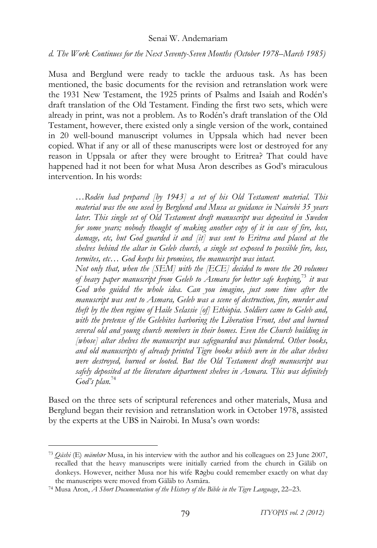#### *d. The Work Continues for the Next Seventy-Seven Months (October 1978–March 1985)*

Musa and Berglund were ready to tackle the arduous task. As has been mentioned, the basic documents for the revision and retranslation work were Testament, however, there existed only a single version of the work, contained in 20 well-bound manuscript volumes in Uppsala which had never been copied. What if any or all of these manuscripts were lost or destroyed for any reason in Uppsala or after they were brought to Eritrea? That could have happened had it not been for what Musa Aron describes as God's miraculous the 1931 New Testament, the 1925 prints of Psalms and Isaiah and Rodén's draft translation of the Old Testament. Finding the first two sets, which were already in print, was not a problem. As to Rodén's draft translation of the Old intervention. In his words:

…Rodén had prepared [by 1943] a set of his Old Testament material. This  $\frac{1}{100}$   $\frac{1}{100}$ later. This single set of Old Testament draft manuscript was deposited in Sweden for some years; nobody thought of making another copy of it in case of fire, loss, damage, etc, but God guarded it and [it] was sent to Eritrea and placed at the shelves behind the altar in Geleb church, a single set exposed to possible fire, loss,  $\emph{ntact.}$ Not only that, when the [SEM] with the [ECE] decided to move the 20 volumes From Ambivalence to Acceptance – International Conference on *Azmari God who guided the whole idea. Can you imagine, just some time after the manuscript was sent to Asmara, Geleb was a scene of destruction, fire, murder and manuscript was sent to Asmara, Geleb was a scene of destruction, fire, murder and*  $(a \text{.} \text{.} \text{) }$  to  $\text{.} \text{.}$  elebrated we take  $\text{.}$ with the pretense of the Gelebites harboring the Liberation Front, shot and burned several old and young church members in their homes. Even the Church building in [whose] altar shelves the manuscript was safeguarded was plundered. Other books, *material was the one used by Berglund and Musa as guidance in Nairobi 35 years termites, etc… God keeps his promises, the manuscript was intact. of heavy paper manuscript from Geleb to Asmara for better safe keeping,*<sup>73</sup> *it was theft by the then regime of Haile Selassie [of] Ethiopia. Soldiers came to Geleb and, and old manuscripts of already printed Tigre books which were in the altar shelves were destroyed, burned or looted. But the Old Testament draft manuscript was safely deposited at the literature department shelves in Asmara. This was definitely* 

God's plan.<sup>74</sup>

<u>.</u>

Based on the three sets of scriptural references and other materials, Musa and<br>Based on the three sets of scriptural references and other 2012, accepted  $\sigma$   $\sigma$ , assisted  $\sigma$ Berglund began their revision and retranslation work in October 1978, assisted by the experts at the UBS in Nairobi. In Musa's own words:

donkeys. However, neither Musa nor his wife Rǝgbu could remember exactly on what day  $2^{\frac{3}{2}}$ <sup>73</sup> *Qäshi* (E) *mämhǝr* Musa, in his interview with the author and his colleagues on 23 June 2007, recalled that the heavy manuscripts were initially carried from the church in Gäläb on the manuscripts were moved from Gäläb to Asmära. 74 Musa Aron, *A Short Documentation of the History of the Bible in the Tigre Language*, 22*–*23.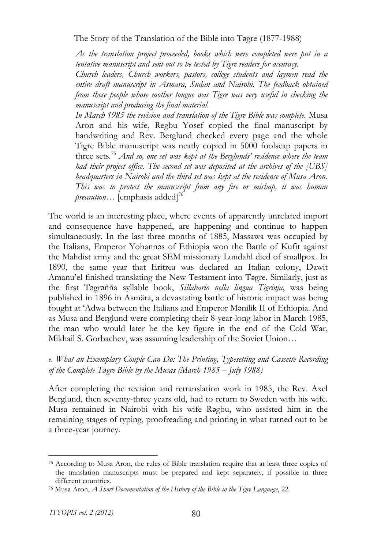tentative manuscript and sent out to be tested by Tigre readers for accuracy. *As the translation project proceeded, books which were completed were put in a* 

Church leaders, Church workers, pastors, college students and laymen read the entire draft manuscript in Asmara, Sudan and Nairobi. The feedback obtained *from these people whose mother tongue was Tigre was very useful in checking the manuscript and producing the final material.* 

Aron and his wife, Regbu Yosef copied the final manuscript by handwriting and Rev. Berglund checked every page and the whole Tigre Bible manuscript was neatly copied in 5000 foolscap papers in three sets.<sup>75</sup> *And so, one set was kept at the Berglunds' residence where the team* had their project office. The second set was deposited at the archives of the [UBS] headquarters in Nairobi and the third set was kept at the residence of Musa Aron. The *Was* to proceed the manuscript from any five or message, a was summer *precaution*... [emphasis added]<sup>76</sup> *In March 1985 the revision and translation of the Tigre Bible was complete.* Musa *This was to protect the manuscript from any fire or mishap, it was human* 

The world is an interesting place, where events of apparently unrelated import and consequence have happened, are happening and continue to happen simultaneously. In the last three months of 1885, Massawa was occupied by the Italians, Emperor Yohannas of Ethiopia won the Battle of Kufit against the Mahdist army and the great SEM missionary Lundahl died of smallpox. In 1890, the same year that Eritrea was declared an Italian colony, Dawit the first Tagrañña syllable book, *Sillabario nella lingua Tigrinja*, was being published in 1896 in Asmära, a devastating battle of historic impact was being fought at 'Adwa between the Italians and Emperor Manilik II of Ethiopia. And as Musa and Berglund were completing their 8-year-long labor in March 1985, the man who would later be the key figure in the end of the Cold War, Mikhail S. Gorbachev, was assuming leadership of the Soviet Union... Amanu'el finished translating the New Testament into Tǝgre. Similarly, just as

# **Research and Expedition Reports** *of the Complete Tǝgre Bible by the Musas (March 1985 – July 1988) e. What an Exemplary Couple Can Do: The Printing, Typesetting and Cassette Recording*

After completing the revision and retranslation work in 1985, the Rev. Axel Detguina, then severity time years ora, had to retain to sweeten with his wife.<br>Musa remained in Nairobi with his wife Rǝgbu, who assisted him in the emance in Evanope with the wice regout, who assisted to remaining stages of typing, proofreading and printing in what turned out to be<br>a three year journey. Berglund, then seventy-three years old, had to return to Sweden with his wife. a three-year journey.

<sup>&</sup>lt;sup>75</sup> According to Musa Aron, the rules of Bible translation require that at least three copies of the translation manuscripts must be prepared and kept separately, if possible in three different countries.<br><sup>76</sup> Musa Aron, *A Short Documentation of the History of the Bible in the Tigre Language*, 22. <u>.</u>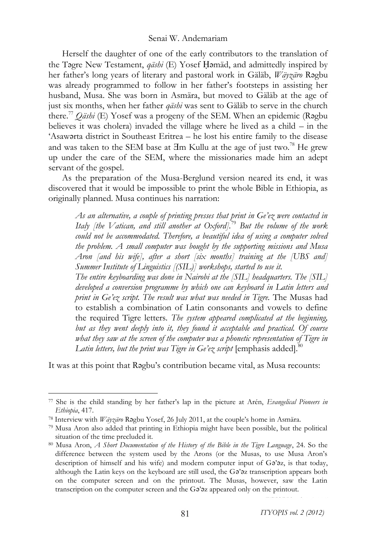the Tegre New Testament, *qäshi* (E) Yosef Ḥǝmäd, and admittedly inspired by her father's long years of literary and pastoral work in Gäläb, *Wäyzäro* Ragbu was already programmed to follow in her father's footsteps in assisting her believes it was cholera) invaded the village where he lived as a child – in the 'Asawarta district in Southeast Eritrea – he lost his entire family to the disease and was taken to the SEM base at  $\overline{3}m$  Kullu at the age of just two.<sup>78</sup> He grew up under the care of the SEM, where the missionaries made him an adept Herself the daughter of one of the early contributors to the translation of husband, Musa. She was born in Asmära, but moved to Gäläb at the age of just six months, when her father *qäshi* was sent to Gäläb to serve in the church there.77 *Qäshi* (E) Yosef was a progeny of the SEM. When an epidemic (Rǝgbu servant of the gospel.

As the preparation of the Musa-Berglund version neared its end, it was discovered that it would be impossible to print the whole Bible in Ethiopia, as originally planned. Musa continues his narration:

As an alternative, a couple of printing presses that print in Ge'ez were contacted in Italy [the Vatican, and still another at Oxford].<sup>79</sup> But the volume of the work could not be accommodated. Therefore, a beautiful idea of using a computer solved the problem. A small computer was bought by the supporting missions and Musa Aron [and his wife], after a short [six months] training at the [UBS and]<br>Sand and *Maria Culture, CCU* National *Arona* at the <sup>[UBS]</sup> and  $T^{\prime}$  CH<sub>2</sub> *Summer Institute of Linguistics [(SIL)] workshops, started to use it.* 

developed a conversion programme by which one can keyboard in Latin letters and print in Ge'ez script. The result was what was needed in Tigre. The Musas had to establish a combination of Latin consonants and vowels to define the required Tigre letters. The system appeared complicated at the beginning, but as they went deeply into it, they found it acceptable and practical. Of course what they saw at the screen of the computer was a phonetic representation of Tigre in *The entire keyboarding was done in Nairobi at the [SIL] headquarters. The [SIL]*  Latin letters, but the print was Tigre in Ge'ez script [emphasis added].<sup>80</sup>

It was at this point that Rǝgbu's contribution became vital, as Musa recounts:

-

 *ITY OF EXECUTIVE CONTINUES IN THE EXECUTIVE CONTINUES IN THE EXECUTIVE CONTINUES. AND IN THE EXECUTIVE CONTINUES IN THE EXECUTIVE CONTINUES IN THE EXECUTIVE CONTINUES.* 

<sup>&</sup>lt;sup>77</sup> She is the child standing by her father's lap in the picture at Arén, *Evangelical Pioneers in*  $Fd$ :  $\dot{M}$  $\overline{m}$ *Ethiopia*, 417.<br><sup>78</sup> Interview with *Wäyzäro* R**ǝ**gbu Yosef, 26 July 2011, at the couple's home in Asmära.

The Musa Aron also added that printing in Ethiopia might have been possible, but the political  $\frac{79}{100}$  Musa Aron also added that printing in Ethiopia might have been possible, but the political situation of the time precluded it. 80 Musa Aron, *A Short Documentation of the History of the Bible in the Tigre Language*, 24. So the

although the Latin keys on the keyboard are still used, the Gǝ'ǝz transcription appears both<br>although the computer appears and her still used, the Masse, harmony are sthe Latin aw the Latin<br>tout difference between the system used by the Arons (or the Musas, to use Musa Aron's description of himself and his wife) and modern computer input of Ga'az, is that today, on the computer screen and on the printout. The Musas, however, saw the Latin transcription on the computer screen and the Ga'az appeared only on the printout.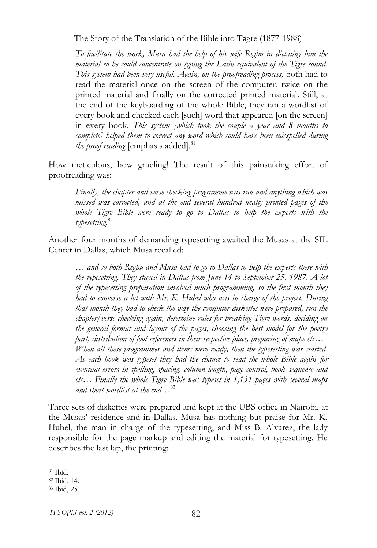material so he could concentrate on typing the Latin equivalent of the Tigre sound. This system had been very useful. Again, on the proofreading process, both had to read the material once on the screen of the computer, twice on the the end of the keyboarding of the whole Bible, they ran a wordlist of in every book. This system *[which took the couple a year and 8 months to* complete] helped them to correct any word which could have been misspelled during *the proof reading* [emphasis added].<sup>81</sup> *To facilitate the work, Musa had the help of his wife Regbu in dictating him the*  printed material and finally on the corrected printed material. Still, at every book and checked each [such] word that appeared [on the screen]

National Workshop: "Socio-cultural Impact Assessment of the Welqayt How meticulous, how grueling! The result of this painstaking effort of ading was: proofreading was:

Finally, the chapter and verse checking programme was run and anything which was missed was corrected, and at the end several hundred neatly printed pages of the whole Tigre Bible were ready to go to Dallas to help the experts with the  $\Omega$  and  $\Omega$ *typesetting.*<sup>82</sup>

Another four months of demanding typesetting awaited the Musas at the SIL Center in Dallas, which Musa recalled:  $\frac{1}{2}$ 

International Workshop on "Culture, Environment and Development" … and so both Regbu and Musa had to go to Dallas to help the experts there with  $\frac{1}{\sqrt{2}}$ of the typesetting preparation involved much programming, so the first month they *had to converse a lot with Mr. K. Hubel who was in charge of the project. During* that month they had to check the way the computer diskettes were prepared, run the chapter/verse checking again, determine rules for breaking Tigre words, deciding on the general format and layout of the pages, choosing the best model for the poetry part, distribution of foot references in their respective place, preparing of maps etc… **Research and Expedition Reports** *eventual errors in spelling, spacing, column length, page control, book sequence and*  and short wordlist at the end...<sup>83</sup> *the typesetting. They stayed in Dallas from June 14 to September 25, 1987. A lot When all these programmes and items were ready, then the typesetting was started. As each book was typeset they had the chance to read the whole Bible again for etc… Finally the whole Tigre Bible was typeset in 1,131 pages with several maps* 

Three sets of diskettes were prepared and kept at the UBS office in Nairobi, at the Musas' residence and in Dallas. Musa has nothing but praise for Mr. K. Hubel, the man in charge of the typesetting, and Miss B. Alvarez, the lady responsible for the page markup and editing the material for typesetting. He describes the last lap, the printing:

 $S<sup>1</sup>$  1 bid.<br> $S<sup>2</sup>$  research projects in social sciences and humanities and humanities and humanities and humanities and humanities and humanities and humanities and humanities and humanities and humanities and h <sup>81</sup> Ibid*.* 

at Mekelle University 1933<br>2008 - The Mekelle University 1933<br>2008 - The Mekelle University 1933 <sup>82</sup> Ibid, 14.

<sup>83</sup> Ibid, 25*.*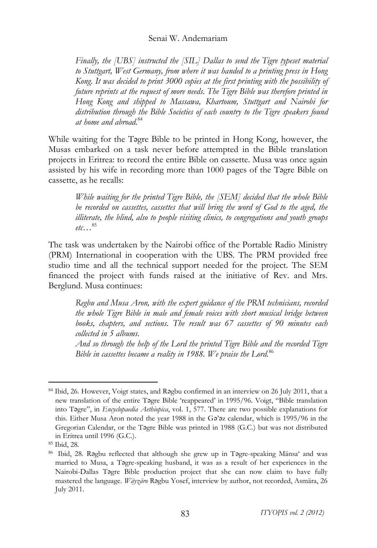Finally, the [UBS] instructed the [SIL] Dallas to send the Tigre typeset material  $\emph{press in }$   $\emph{Hom}$ e possibility of *to Stuttgart, West Germany, from where it was handed to a printing press in Hong Kong. It was decided to print 3000 copies at the first printing with the possibility of future reprints at the request of more needs. The Tigre Bible was therefore printed in Hong Kong and shipped to Massawa, Khartoum, Stuttgart and Nairobi for distribution through the Bible Societies of each country to the Tigre speakers found at home and abroad.*<sup>84</sup>

 $\omega$   $\mathbf{r}$  in  $\mathbf{r}$  in  $\mathbf{r}$  in  $\mathbf{r}$  in  $\mathbf{r}$  in  $\mathbf{r}$  in  $\mathbf{r}$  in  $\mathbf{r}$  in  $\mathbf{r}$  is  $\mathbf{r}$  in  $\mathbf{r}$  in  $\mathbf{r}$  is  $\mathbf{r}$  in  $\mathbf{r}$  in  $\mathbf{r}$  is  $\mathbf{r}$  in  $\mathbf{r}$  in  $\mathbf{r}$  is  $\frac{3}{2}$ projects in Eritrea: to record the entire Bible on cassette. Musa was once again assisted by his wife in recording more than 1000 pages of the Tagre Bible on While waiting for the Tagre Bible to be printed in Hong Kong, however, the Musas embarked on a task never before attempted in the Bible translation cassette, as he recalls:

While waiting for the printed Tigre Bible, the [SEM] decided that the whole Bible  $F_{\mu\nu}$  and  $F_{\mu\nu}$  the decay of the  $\mu$ illiterate, the blind, also to people visiting clinics, to congregations and youth groups Cultural and Art Heritage of the Haddis Alemayehu Cultural and *be recorded on cassettes, cassettes that will bring the word of God to the aged, the etc…*<sup>85</sup>

The task was undertaken by the Nairobi office of the Portable Radio Ministry studio time and all the technical support needed for the project. The SEM  $\frac{1}{2}$  and  $\frac{M_{\text{co}}}{N_{\text{co}}}$ (PRM) International in cooperation with the UBS. The PRM provided free financed the project with funds raised at the initiative of Rev. and Mrs. Berglund. Musa continues:

in Ethiopia, University of Hildesheim, 6 − 8 January 2012 rans, recorded<br>1 Workshop "On the History and Culture of the Horn of Africa" at *books, chapters, and sections. The result was 67 cassettes of 90 minutes each*   $M<sub>1</sub>$  Mexico 2011 (Carsten Hoffmann) (Carsten Hoffmann) (Carsten Hoffmann Hoffmann Hoffmann Hoffmann Hoffmann Hoffmann Hoffmann Hoffmann Hoffmann Hoffmann Hoffmann Hoffmann Hoffmann Hoffmann Hoffmann Hoffmann Hoffman *Regbu and Musa Aron, with the expert guidance of the PRM technicians, recorded the whole Tigre Bible in male and female voices with short musical bridge between collected in 5 albums.* 

recorded Tiore *And so through the help of the Lord the printed Tigre Bible and the recorded Tigre Bible in cassettes became a reality in 1988. We praise the Lord.*<sup>86</sup>

<sup>&</sup>lt;sup>84</sup> Ibid, 26. However, Voigt states, and Rǝgbu confirmed in an interview on 26 July 2011, that a new transfation of the entire Tegre Dible Teappeared in 1999/90. Voigt, Dible transfation<br>into Tegre", in *Encyclopaedia Aethiopica*, vol. 1, 577. There are two possible explanations for this. Either Musa Aron noted the year 1988 in the Gǝ'ǝz calendar, which is 1995/96 in the Gregorian Calendar, or the Tagre Bible was printed in 1988 (G.C.) but was not distributed new translation of the entire Tǝgre Bible 'reappeared' in 1995/96. Voigt, "Bible translation in Eritrea until 1996 (G.C.). 85 Ibid, 28*.* 86 Ibid, 28*.* Rǝgbu reflected that although she grew up in Tǝgre-speaking Mänsa' and was

Nairobi-Dallas Tegre Bible production project that she can now claim to have fully  $\alpha$ , Asiliara, 20 married to Musa, a Tǝgre-speaking husband, it was as a result of her experiences in the mastered the language. *Wäyzäro* Rǝgbu Yosef, interview by author, not recorded, Asmära, 26 July 2011.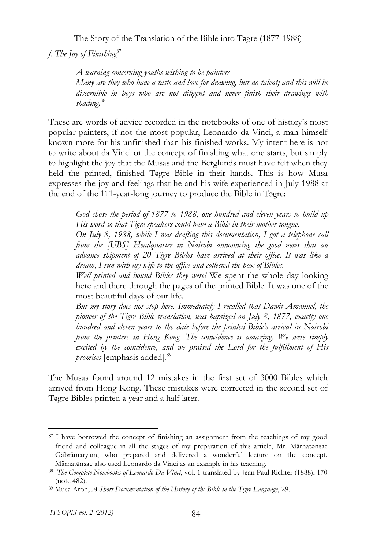*f. The Joy of Finishing*<sup>87</sup>

Dereje Feyissa – Markus Virgil Hoehne: Borders and Borderlands as Resources in the Horn of Africa. Woodbridge 2010 *A warning concerning youths wishing to be painters*  Many are they who have a taste and love for drawing, but no talent; and this will be *discernible in boys who are not diligent and never finish their drawings with shading.*<sup>88</sup>

These are words of advice recorded in the notebooks of one of history's most popular painters, if not the most popular, Leonardo da Vinci, a man himself known more for his unfinished than his finished works. My intent here is not to whice about da viner of the concept of imising what one starts, but simply<br>to highlight the joy that the Musas and the Berglunds must have felt when they to inging the foy that the musas and the Dergianus must have felt when they held the printed, finished Tagre Bible in their hands. This is how Musa expresses the joy and feelings that he and his wife experienced in July 1988 at the end of the 111-year-long journey to produce the Bible in Tǝgre: to write about da Vinci or the concept of finishing what one starts, but simply

God chose the period of 1877 to 1988, one hundred and eleven years to build up His word so that Tigre speakers could have a Bible in their mother tongue.

On July 8, 1988, while I was drafting this documentation, I got a telephone call from the [UBS] Headquarter in Nairobi announcing the good news that an adding supposed by 20 Tight Blows have arrived at likel office. It we<br>dream, I run with my wife to the office and collected the box of Bibles. *advance shipment of 20 Tigre Bibles have arrived at their office. It was like a* 

at any, 15 March 1973 angle to the office and conceived the obset of Bibles.<br>*Well printed and bound Bibles they were!* We spent the whole day looking here and there through the pages of the printed Bible. It was one of the most beautiful days of our life.

But my story does not stop here. Immediately I recalled that Dawit Amanuel, the pioneer of the Tigre Bible translation, was baptized on July 8, 1877, exactly one hundred and eleven years to the date before the printed Bible's arrival in Nairobi from the printers in Hong Kong. The coincidence is amazing. We were simply *excited by the coincidence, and we praised the Lord for the fulfillment of His promises* [emphasis added]*.* 89

(Wolf SMIDT), in collaboration with GEBRE MIDT), in collaboration with GEBRE

The Musas found around 12 mistakes in the first set of 3000 Bibles which arrived from Hong Kong. These mistakes were corrected in the second set of  $D_{\text{S}}$  the gold of the Aksumites or  $\frac{1}{2}$ Tǝgre Bibles printed a year and a half later.

Gäbrämaryam, who prepared and delivered a wonderful lecture on the concept. <sup>87</sup> I have borrowed the concept of finishing an assignment from the teachings of my good friend and colleague in all the stages of my preparation of this article, Mr. Märhatansae

Märhatonsae also used Leonardo da Vinci as an example in his teaching.<br><sup>88</sup> The Complete Notebooks of Leonardo Da Vinci, vol. 1 translated by Jean Paul Richter (1888), 170 (note 482).

note 482).<br><sup>89</sup> Musa Aron, *A Short Documentation of the History of the Bible in the Tigre Language*, 29.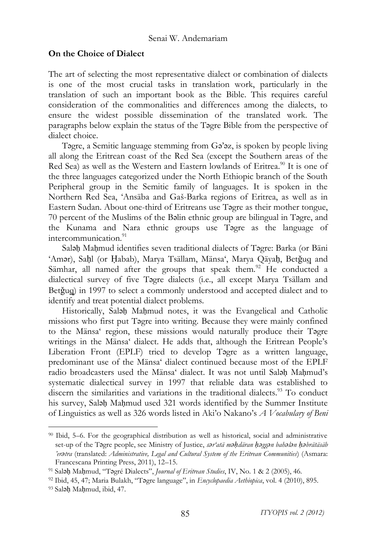### **On the Choice of Dialect**

The art of selecting the most representative dialect or combination of dialects is one of the most crucial tasks in translation work, particularly in the paragraphs below explain the status of the Tǝgre Bible from the perspective of translation of such an important book as the Bible. This requires careful consideration of the commonalities and differences among the dialects, to ensure the widest possible dissemination of the translated work. The dialect choice.

Tagre, a Semitic language stemming from Ga'az, is spoken by people living all along the Eritrean coast of the Red Sea (except the Southern areas of the Red Sea) as well as the Western and Eastern lowlands of Eritrea.<sup>90</sup> It is one of the three languages categorized under the North Ethiopic branch of the South Tempheral group in the Sennice Tanniy of Tanguages. It is spoken in the<br>Northern Red Sea, 'Ansäba and Gaš-Barka regions of Eritrea, as well as in  $\frac{1}{2}$  will as  $\frac{1}{2}$ 70 percent of the Muslims of the Bǝlin ethnic group are bilingual in Tǝgre, and the Kunama and Nara ethnic groups use Tegre as the language of Peripheral group in the Semitic family of languages. It is spoken in the Eastern Sudan. About one-third of Eritreans use Tǝgre as their mother tongue, intercommunication.<sup>91</sup>

Salǝḥ Maḥmud identifies seven traditional dialects of Tǝgre: Barka (or Bäni ʻAmər), Saḥl (or Ḥabab), Marya Tsällam, Mänsaʻ, Marya Qäyaḥ, Betǧuq and Sämhar, all named after the groups that speak them.<sup>92</sup> He conducted a From Ambivalence to Acceptance – International Conference on *Azmari*  $\int$ and to dialectical survey of five Tǝgre dialects (i.e., all except Marya Tsällam and Betǧuq) in 1997 to select a commonly understood and accepted dialect and to identify and treat potential dialect problems.

 $\int C \cdot f \cdot \ln f$ missions who first put Tǝgre into writing. Because they were mainly confined to the Mänsa' region, these missions would naturally produce their Tagre writings in the Mänsa' dialect. He adds that, although the Eritrean People's discern the similarities and variations in the traditional dialects.<sup>93</sup> To conduct his survey, Salǝḥ Maḥmud used 321 words identified by the Summer Institute of Linguistics as well as 326 words listed in Aki'o Nakano's *A Vocabulary of Beni* Historically, Salǝḥ Maḥmud notes, it was the Evangelical and Catholic Liberation Front (EPLF) tried to develop Togre as a written language, predominant use of the Mänsa' dialect continued because most of the EPLF radio broadcasters used the Mänsa' dialect. It was not until Salǝḥ Maḥmud's systematic dialectical survey in 1997 that reliable data was established to

<sup>90</sup> Ibid, 5*–*6. For the geographical distribution as well as historical, social and administrative set-up of the Tǝgre people, see Ministry of Justice, *sǝr'atä mǝḥdäran ḥǝggǝn bahǝlǝn ḥǝbrätäsäb 'erǝtra* (translated: *Administrative, Legal and Cultural System of the Eritrean Communities*) (Asmara: Francescana Printing Press, 2011), 12*–*15.

<sup>91</sup> Salǝḥ Maḥmud, "Tǝgré Dialects", *Journal of Eritrean Studies*, IV, No. 1 & 2 (2005), 46.

 $\alpha$  2 (2005), 40.<br> $\alpha$  research 2004.00, 905  $2010, 023.$ <sup>92</sup> Ibid, 45, 47; Maria Bulakh, "Tǝgre language", in *Encyclopaedia Aethiopica*, vol. 4 (2010), 895.<br><sup>93</sup> Salǝh Mahmud, ibid, 47.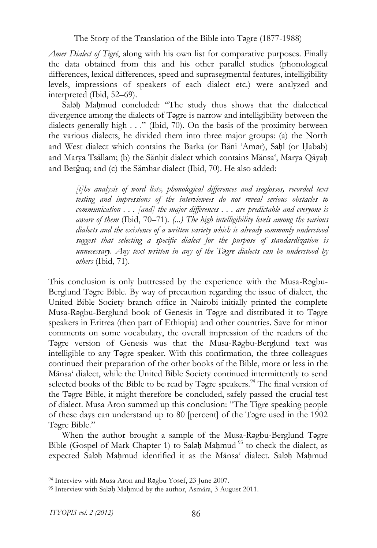the data obtained from this and his other parallel studies (phonological differences, lexical differences, speed and suprasegmental features, intelligibility levels, impressions of speakers of each dialect etc.) were analyzed and *Amer Dialect of Tigré*, along with his own list for comparative purposes. Finally interpreted (Ibid, 52*–*69).

Salah Mahmud concluded: "The study thus shows that the dialectical dialects generally high  $\dots$ " (Ibid, 70). On the basis of the proximity between the various dialects, he divided them into three major groups: (a) the North and West dialect which contains the Barka (or Bäni 'Amer), Saḥl (or Ḥabab) and Marya Tsällam; (b) the Sänḥit dialect which contains Mänsa', Marya Qäyaḥ and Betǧuq; and (c) the Sämhar dialect (Ibid, 70). He also added: divergence among the dialects of Tagre is narrow and intelligibility between the

[t]he analysis of word lists, phonological differences and isoglosses, recorded text testing and impressions of the interviewees do not reveal serious obstacles to *aware of them* (Ibid, 70–71). (...) The high intelligibility levels among the various dialects and the existence of a written variety which is already commonly understood suggest that selecting a specific dialect for the purpose of standardization is unnecessary. Any text written in any of the T*agre dialects can be understood by others* (Ibid, 71). *communication . . . [and] the major differences . . . are predictable and everyone is* 

This conclusion is only buttressed by the experience with the Musa-Rǝgbu-Berglund Tǝgre Bible. By way of precaution regarding the issue of dialect, the United Bible Society branch office in Nairobi initially printed the complete speakers in Eritrea (then part of Ethiopia) and other countries. Save for minor comments on some vocabulary, the overall impression of the readers of the Tagre version of Genesis was that the Musa-Ragbu-Berglund text was Mänsa' dialect, while the United Bible Society continued intermittently to send the Tagre Bible, it might therefore be concluded, safely passed the crucial test of dialect. Musa Aron summed up this conclusion: "The Tigre speaking people of these days can understand up to 80 [percent] of the Tagre used in the 1902  $\mathbf{B}$  Sible." Musa-Rǝgbu-Berglund book of Genesis in Tǝgre and distributed it to Tǝgre intelligible to any Tǝgre speaker. With this confirmation, the three colleagues continued their preparation of the other books of the Bible, more or less in the selected books of the Bible to be read by Tagre speakers.<sup>94</sup> The final version of Tǝgre Bible."

**Research Abstracts** expected Salǝḥ Maḥmud identified it as the Mänsa' dialect. Salǝḥ Maḥmud When the author brought a sample of the Musa-Rogbu-Berglund Togre Bible (Gospel of Mark Chapter 1) to Salah Mahmud<sup>95</sup> to check the dialect, as

<sup>)&</sup>lt;br><sup>94</sup> Interview with Musa Aron and Rǝgbu Yosef, 23 June 2007.

 $\frac{95 \text{ Interview with Saləh Mahmud by the author, Asmära, 3 August 2011.}$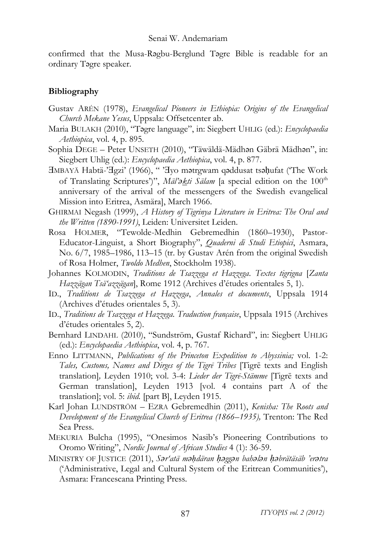confirmed that the Musa-Rǝgbu-Berglund Tǝgre Bible is readable for an ordinary Tǝgre speaker.

#### **Bibliography**

- Gustav ARÉN (1978), *Evangelical Pioneers in Ethiopia: Origins of the Evangelical Church Mekane Yesus*, Uppsala: Offsetcenter ab.
- The 18th International Conference of Ethiopian Studies in Dirre Dawa: Maria BULAKH (2010), "Tǝgre language", in: Siegbert UHLIG (ed.): *Encyclopaedia*   $\mathcal{L}$ m jewpacam *Aethiopica*, vol. 4, p. 895.
- 2 Rompaa, vol. 4, p. 655.<br>Sophia DEGE Peter UNSETH (2010), "Täwäldä-Mädhən Gäbrä Mädhən", in:  $N_{\rm eff}$  workshop: "Socio-cultural Impact Assessment of the Welqayte Siegbert Uhlig (ed.): *Encyclopaedia Aethiopica*, vol. 4, p. 877.
- HMBAYÄ Habtä-'Hgzi' (1966), " 'Hyo mǝtrgwam qǝddusat tsǝḥufat ('The Work of Translating Scriptures')", *Mäl'akti Sälam* [a special edition on the 100<sup>th</sup> anniversary of the arrival of the messengers of the Swedish evangelical Mission into Eritrea, Asmära], March 1966.
- GHIRMAI Negash (1999), *A History of Tigrinya Literature in Eritrea: The Oral and*  $\mathbb{R}^n$  and  $\mathbb{R}^n$ *the Written (1890-1991)*, Leiden: Universitet Leiden.
- $\mathcal{O}_1$ , Pastoi- $\mu$ , Asmara,  $\overline{C}$ Rosa HOLMER, "Tewolde-Medhin Gebremedhin (1860–1930), Pastor-Educator-Linguist, a Short Biography", *Quaderni di Studi Etiopici*, Asmara, No. 6/7, 1985*–*1986, 113*–*15 (tr. by Gustav Arén from the original Swedish of Rosa Holmer, *Twoldo Medhen*, Stockholm 1938).
- Johannes KOLMODIN, *Traditions de Tsazzega et Hazzega*. *Textes tigrigna* [*Zanta* Hazzägan Tsä'azzägan], Rome 1912 (Archives d'études orientales 5, 1).
- ID., *Traditions de Tsazzega et Hazzega, Annales et documents*, Uppsala 1914 (Archives d'études orientales 5, 3).
- ID., *Traditions de Tsazzega et Hazzega. Traduction française*, Uppsala 1915 (Archives<br>d'études exienteles 5-2)  $h_{\alpha}$  University, 17-18 March 2011 (Carsten Hoffmann) d'études orientales 5, 2).
- $\mu$ <sub>p</sub> Bernhard LINDAHL (2010), "Sundström, Gustaf Richard", in: Siegbert UHLIG (ed.): *Encyclopaedia Aethiopica*, vol. 4, p. 767.
- $\sum_{i=1}^{\infty}$   $\sum_{i=1}^{\infty}$   $\sum_{i=1}^{\infty}$ Enno LITTMANN, *Publications of the Princeton Expedition to Abyssinia;* vol. 1-2: *Tales, Customs, Names and Dirges of the Tigrē Tribes* [Tigrē texts and English translation]*,* Leyden 1910; vol. 3-4: *Lieder der Tigrē-Stämme* [Tigrē texts and German translation], Leyden 1913 [vol. 4 contains part A of the translation]; vol. 5: *ibid.* [part B], Leyden 1915.
- Karl Johan LUNDSTRÖM EZRA Gebremedhin (2011), *Kenisha: The Roots and* Development of the Evangelical Church of Eritrea (1866–1935), Trenton: The Red Sea Press.
- MEKURIA Bulcha (1995), "Onesimos Nasib's Pioneering Contributions to Oromo Writing", *Nordic Journal of African Studies* 4 (1): 36-59.
- $S$  research projection projects in social sciences and  $\frac{1}{2}$ MINISTRY OF JUSTICE (2011), *Sǝr'atä mǝḥdäran ḥǝggǝn bahǝlǝn ḥǝbrätäsäb 'erǝtra*  ('Administrative, Legal and Cultural System of the Eritrean Communities'), Asmara: Francescana Printing Press.